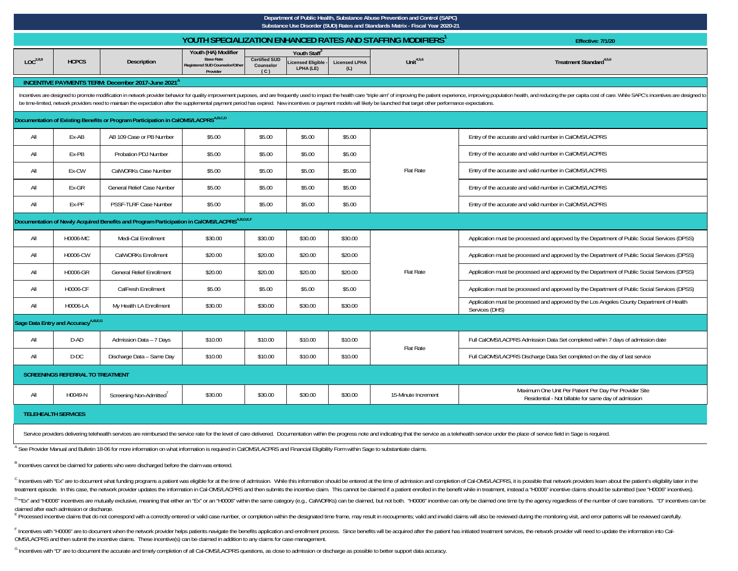|                                                                                                      | Department of Public Health, Substance Abuse Prevention and Control (SAPC)<br>Substance Use Disorder (SUD) Rates and Standards Matrix - Fiscal Year 2020-21 |                                                                                                 |                                                                                      |                                          |                                                           |                             |                                                                                                                                                                                                                             |                                                                                                                                                                                                                                |  |  |  |  |
|------------------------------------------------------------------------------------------------------|-------------------------------------------------------------------------------------------------------------------------------------------------------------|-------------------------------------------------------------------------------------------------|--------------------------------------------------------------------------------------|------------------------------------------|-----------------------------------------------------------|-----------------------------|-----------------------------------------------------------------------------------------------------------------------------------------------------------------------------------------------------------------------------|--------------------------------------------------------------------------------------------------------------------------------------------------------------------------------------------------------------------------------|--|--|--|--|
|                                                                                                      |                                                                                                                                                             |                                                                                                 |                                                                                      |                                          |                                                           |                             | YOUTH SPECIALIZATION ENHANCED RATES AND STAFFING MODIFIERS <sup>1</sup>                                                                                                                                                     | Effective: 7/1/20                                                                                                                                                                                                              |  |  |  |  |
| LOC <sup>2,8,9</sup>                                                                                 | <b>HCPCS</b>                                                                                                                                                | Description                                                                                     | Youth (HA) Modifier<br><b>Base Rate</b><br>eqistered SUD Counselor/Other<br>Provider | <b>Certified SUD</b><br>Counselor<br>(C) | Youth Staff <sup>3</sup><br>icensed Eligible<br>LPHA (LE) | <b>Licensed LPHA</b><br>(L) | Unit $4,5,6$                                                                                                                                                                                                                | Treatment Standard <sup>4,5,6</sup>                                                                                                                                                                                            |  |  |  |  |
|                                                                                                      |                                                                                                                                                             | INCENTIVE PAYMENTS TERM: December 2017-June 2021 <sup>4</sup>                                   |                                                                                      |                                          |                                                           |                             |                                                                                                                                                                                                                             |                                                                                                                                                                                                                                |  |  |  |  |
|                                                                                                      |                                                                                                                                                             |                                                                                                 |                                                                                      |                                          |                                                           |                             | be time-limited, network providers need to maintain the expectation after the supplemental payment period has expired. New incentives or payment models will likely be launched that target other performance expectations. | Incentives are designed to promote modification in network provider behavior for quality improvement purposes, and are frequently used to impact the health care "triple aim" of improving the patient experience, improving p |  |  |  |  |
|                                                                                                      |                                                                                                                                                             | Documentation of Existing Benefits or Program Participation in CalOMS/LACPRS <sup>A,B,C,D</sup> |                                                                                      |                                          |                                                           |                             |                                                                                                                                                                                                                             |                                                                                                                                                                                                                                |  |  |  |  |
| All                                                                                                  | Ex-AB                                                                                                                                                       | AB 109 Case or PB Number                                                                        | \$5.00                                                                               | \$5.00                                   | \$5.00                                                    | \$5.00                      |                                                                                                                                                                                                                             | Entry of the accurate and valid number in CalOMS/LACPRS                                                                                                                                                                        |  |  |  |  |
| All                                                                                                  | Ex-PB                                                                                                                                                       | Probation PDJ Number                                                                            | \$5.00                                                                               | \$5.00                                   | \$5.00                                                    | \$5.00                      |                                                                                                                                                                                                                             | Entry of the accurate and valid number in CalOMS/LACPRS                                                                                                                                                                        |  |  |  |  |
| All                                                                                                  | Ex-CW                                                                                                                                                       | CalWORKs Case Number                                                                            | \$5.00                                                                               | \$5.00                                   | \$5.00                                                    | \$5.00                      | Flat Rate                                                                                                                                                                                                                   | Entry of the accurate and valid number in CalOMS/LACPRS                                                                                                                                                                        |  |  |  |  |
| All                                                                                                  | Ex-GR                                                                                                                                                       | General Relief Case Number                                                                      | \$5.00                                                                               | \$5.00                                   | \$5.00                                                    | \$5.00                      |                                                                                                                                                                                                                             | Entry of the accurate and valid number in CalOMS/LACPRS                                                                                                                                                                        |  |  |  |  |
| All                                                                                                  | Ex-PF                                                                                                                                                       | PSSF-TLRF Case Number                                                                           | \$5.00                                                                               | \$5.00                                   | \$5.00                                                    | \$5.00                      |                                                                                                                                                                                                                             | Entry of the accurate and valid number in CalOMS/LACPRS                                                                                                                                                                        |  |  |  |  |
| Documentation of Newly Acquired Benefits and Program Participation in CalOMS/LACPRS <sup>ABDEF</sup> |                                                                                                                                                             |                                                                                                 |                                                                                      |                                          |                                                           |                             |                                                                                                                                                                                                                             |                                                                                                                                                                                                                                |  |  |  |  |
| All                                                                                                  | H0006-MC                                                                                                                                                    | Medi-Cal Enrollment                                                                             | \$30.00                                                                              | \$30.00                                  | \$30.00                                                   | \$30.00                     |                                                                                                                                                                                                                             | Application must be processed and approved by the Department of Public Social Services (DPSS)                                                                                                                                  |  |  |  |  |
| All                                                                                                  | H0006-CW                                                                                                                                                    | CalWORKs Enrollment                                                                             | \$20.00                                                                              | \$20.00                                  | \$20.00                                                   | \$20.00                     |                                                                                                                                                                                                                             | Application must be processed and approved by the Department of Public Social Services (DPSS)                                                                                                                                  |  |  |  |  |
| All                                                                                                  | H0006-GR                                                                                                                                                    | <b>General Relief Enrollment</b>                                                                | \$20.00                                                                              | \$20.00                                  | \$20.00                                                   | \$20.00                     | <b>Flat Rate</b>                                                                                                                                                                                                            | Application must be processed and approved by the Department of Public Social Services (DPSS)                                                                                                                                  |  |  |  |  |
| All                                                                                                  | H0006-CF                                                                                                                                                    | CalFresh Enrollment                                                                             | \$5.00                                                                               | \$5.00                                   | \$5.00                                                    | \$5.00                      |                                                                                                                                                                                                                             | Application must be processed and approved by the Department of Public Social Services (DPSS)                                                                                                                                  |  |  |  |  |
| All                                                                                                  | H0006-LA                                                                                                                                                    | My Health LA Enrollment                                                                         | \$30.00                                                                              | \$30.00                                  | \$30.00                                                   | \$30.00                     |                                                                                                                                                                                                                             | Application must be processed and approved by the Los Angeles County Department of Health<br>Services (DHS)                                                                                                                    |  |  |  |  |
|                                                                                                      | Sage Data Entry and Accuracy <sup>A,B,E,G</sup>                                                                                                             |                                                                                                 |                                                                                      |                                          |                                                           |                             |                                                                                                                                                                                                                             |                                                                                                                                                                                                                                |  |  |  |  |
| All                                                                                                  | D-AD                                                                                                                                                        | Admission Data - 7 Days                                                                         | \$10.00                                                                              | \$10.00                                  | \$10.00                                                   | \$10.00                     | Flat Rate                                                                                                                                                                                                                   | Full CalOMS/LACPRS Admission Data Set completed within 7 days of admission date                                                                                                                                                |  |  |  |  |
| All                                                                                                  | D-DC                                                                                                                                                        | Discharge Data - Same Day                                                                       | \$10.00                                                                              | \$10.00                                  | \$10.00                                                   | \$10.00                     |                                                                                                                                                                                                                             | Full CalOMS/LACPRS Discharge Data Set completed on the day of last service                                                                                                                                                     |  |  |  |  |
| <b>SCREENINGS REFERRAL TO TREATMENT</b>                                                              |                                                                                                                                                             |                                                                                                 |                                                                                      |                                          |                                                           |                             |                                                                                                                                                                                                                             |                                                                                                                                                                                                                                |  |  |  |  |
| All                                                                                                  | H0049-N                                                                                                                                                     | Screening Non-Admitted                                                                          | \$30.00                                                                              | \$30.00                                  | \$30.00                                                   | \$30.00                     | 15-Minute Increment                                                                                                                                                                                                         | Maximum One Unit Per Patient Per Day Per Provider Site<br>Residential - Not billable for same day of admission                                                                                                                 |  |  |  |  |
|                                                                                                      | <b>TELEHEALTH SERVICES</b>                                                                                                                                  |                                                                                                 |                                                                                      |                                          |                                                           |                             |                                                                                                                                                                                                                             |                                                                                                                                                                                                                                |  |  |  |  |

Service providers delivering telehealth services are reimbursed the service rate for the level of care delivered. Documentation within the progress note and indicating that the service as a telehealth service under the pla

A See Provider Manual and Bulletin 18-06 for more information on what information is required in CalOMS/LACPRS and Financial Eligibility Form within Sage to substantiate claims.

B Incentives cannot be claimed for patients who were discharged before the claim was entered.

<sup>C</sup> Incentives with "Ex" are to document what funding programs a patient was eligible for at the time of admission. While this information should be entered at the time of admission and completion of Cal-OMS/LACPRS, it is treatment episode. In this case, the network provider updates the information in Cal-OMS/LACPRS and then submits the incentive claim. This cannot be claimed if a patient enrolled in the benefit while in treatment, instead

<sup>D</sup> "Ex" and "H0006" incentives are mutually exclusive, meaning that either an "Ex" or an "H0006" within the same category (e.g., CalWORKs) can be claimed, but not both. "H0006" incentive can only be claimed one time by th

E Processed incentive claims that do not correspond with a correctly entered or valid case number, or completion within the designated time frame, may result in recoupments; valid and invalid claims will also be reviewed d

F Incentives with "H0006" are to document when the network provider helps patients navigate the benefits application and enrollment process. Since benefits will be acquired after the patient has initiated treatment service OMS/LACPRS and then submit the incentive claims. These incentive(s) can be claimed in addition to any claims for case management.

<sup>G</sup> Incentives with "D" are to document the accurate and timely completion of all Cal-OMS/LACPRS questions, as close to admission or discharge as possible to better support data accuracy.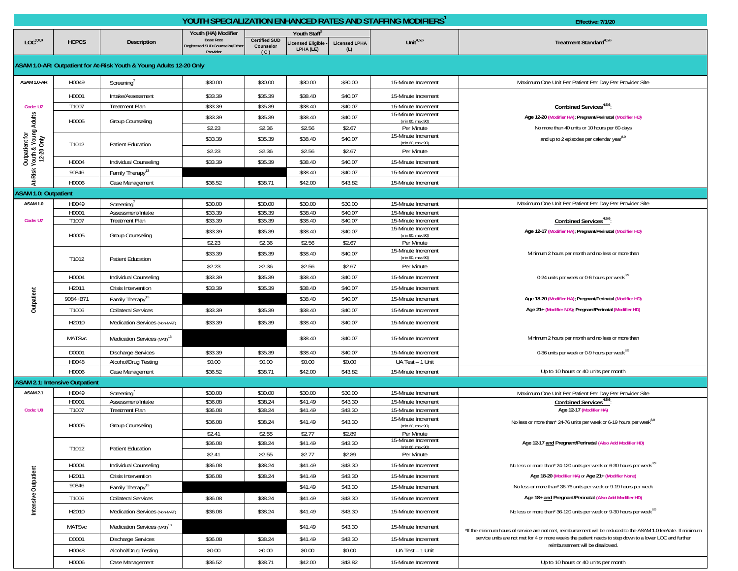|                                                        |                                       |                                                                     | YOUTH SPECIALIZATION ENHANCED RATES AND STAFFING MODIFIERS <sup>1</sup> |                                          |                                       |                             | Effective: 7/1/20                          |                                                                                                                                              |
|--------------------------------------------------------|---------------------------------------|---------------------------------------------------------------------|-------------------------------------------------------------------------|------------------------------------------|---------------------------------------|-----------------------------|--------------------------------------------|----------------------------------------------------------------------------------------------------------------------------------------------|
|                                                        |                                       |                                                                     | Youth (HA) Modifier                                                     |                                          | Youth Staff®                          |                             |                                            |                                                                                                                                              |
| LOC <sup>2,8,9</sup>                                   | <b>HCPCS</b>                          | Description                                                         | <b>Base Rate</b><br>Registered SUD Counselor/Other<br>Provider          | <b>Certified SUD</b><br>Counselor<br>(C) | <b>Licensed Eligible</b><br>LPHA (LE) | <b>Licensed LPHA</b><br>(L) | Unit $4,5,6$                               | Treatment Standard <sup>4,5,6</sup>                                                                                                          |
|                                                        |                                       | ASAM 1.0-AR: Outpatient for At-Risk Youth & Young Adults 12-20 Only |                                                                         |                                          |                                       |                             |                                            |                                                                                                                                              |
| ASAM 1.0-AR                                            | H0049                                 | Screening                                                           | \$30.00                                                                 | \$30.00                                  | \$30.00                               | \$30.00                     | 15-Minute Increment                        | Maximum One Unit Per Patient Per Day Per Provider Site                                                                                       |
|                                                        | H0001                                 | Intake/Assessment                                                   | \$33.39                                                                 | \$35.39                                  | \$38.40                               | \$40.07                     | 15-Minute Increment                        |                                                                                                                                              |
| Code: U7                                               | T1007                                 | <b>Treatment Plan</b>                                               | \$33.39                                                                 | \$35.39                                  | \$38.40                               | \$40.07                     | 15-Minute Increment                        | Combined Services <sup>4,5,6</sup>                                                                                                           |
|                                                        |                                       |                                                                     | \$33.39                                                                 | \$35.39                                  | \$38.40                               | \$40.07                     | 15-Minute Increment                        | Age 12-20 (Modifier HA); Pregnant/Perinatal (Modifier HD)                                                                                    |
|                                                        | H0005                                 | Group Counseling                                                    | \$2.23                                                                  | \$2.36                                   | \$2.56                                | \$2.67                      | (min 60, max 90)<br>Per Minute             | No more than 40 units or 10 hours per 60-days                                                                                                |
|                                                        |                                       |                                                                     | \$33.39                                                                 | \$35.39                                  | \$38.40                               | \$40.07                     | 15-Minute Increment<br>(min 60, max 90)    | and up to 2 episodes per calendar year <sup>8,9</sup>                                                                                        |
| Outpatient for<br>k Youth & Young Adults<br>12-20 Only | T1012                                 | <b>Patient Education</b>                                            | \$2.23                                                                  | \$2.36                                   | \$2.56                                | \$2.67                      | Per Minute                                 |                                                                                                                                              |
|                                                        | H0004                                 | Individual Counseling                                               | \$33.39                                                                 | \$35.39                                  | \$38.40                               | \$40.07                     | 15-Minute Increment                        |                                                                                                                                              |
| At-Risk                                                | 90846                                 | Family Therapy <sup>13</sup>                                        |                                                                         |                                          | \$38.40                               | \$40.07                     | 15-Minute Increment                        |                                                                                                                                              |
|                                                        | H0006                                 | Case Management                                                     | \$36.52                                                                 | \$38.71                                  | \$42.00                               | \$43.82                     | 15-Minute Increment                        |                                                                                                                                              |
| <b>ASAM 1.0: Outpatient</b>                            |                                       |                                                                     |                                                                         |                                          |                                       |                             |                                            |                                                                                                                                              |
| ASAM 1.0                                               | H0049                                 | Screening <sup>'</sup>                                              | \$30.00                                                                 | \$30.00                                  | \$30.00                               | \$30.00                     | 15-Minute Increment                        | Maximum One Unit Per Patient Per Day Per Provider Site                                                                                       |
| Code: U7                                               | H0001<br>T1007                        | Assessment/Intake<br><b>Treatment Plan</b>                          | \$33.39<br>\$33.39                                                      | \$35.39<br>\$35.39                       | \$38.40<br>\$38.40                    | \$40.07<br>\$40.07          | 15-Minute Increment<br>15-Minute Increment | Combined Services <sup>4,5,6</sup>                                                                                                           |
|                                                        |                                       |                                                                     | \$33.39                                                                 | \$35.39                                  | \$38.40                               | \$40.07                     | 15-Minute Increment                        | Age 12-17 (Modifier HA); Pregnant/Perinatal (Modifier HD)                                                                                    |
|                                                        | H0005                                 | Group Counseling                                                    | \$2.23                                                                  | \$2.36                                   | \$2.56                                | \$2.67                      | (min 60, max 90)<br>Per Minute             |                                                                                                                                              |
|                                                        |                                       |                                                                     | \$33.39                                                                 | \$35.39                                  | \$38.40                               | \$40.07                     | 15-Minute Increment                        | Minimum 2 hours per month and no less or more than                                                                                           |
|                                                        | T1012                                 | <b>Patient Education</b>                                            |                                                                         |                                          |                                       |                             | (min 60, max 90)                           |                                                                                                                                              |
|                                                        |                                       |                                                                     | \$2.23                                                                  | \$2.36                                   | \$2.56                                | \$2.67                      | Per Minute                                 |                                                                                                                                              |
| Outpatient                                             | H0004                                 | Individual Counseling                                               | \$33.39                                                                 | \$35.39                                  | \$38.40                               | \$40.07                     | 15-Minute Increment                        | 0-24 units per week or 0-6 hours per week <sup>8,9</sup>                                                                                     |
|                                                        | H2011                                 | Crisis Intervention                                                 | \$33.39                                                                 | \$35.39                                  | \$38.40                               | \$40.07                     | 15-Minute Increment                        |                                                                                                                                              |
|                                                        | 9084+B71                              | Family Therapy <sup>13</sup>                                        |                                                                         |                                          | \$38.40                               | \$40.07                     | 15-Minute Increment                        | Age 18-20 (Modifier HA); Pregnant/Perinatal (Modifier HD)                                                                                    |
|                                                        | T1006                                 | <b>Collateral Services</b>                                          | \$33.39                                                                 | \$35.39                                  | \$38.40                               | \$40.07                     | 15-Minute Increment                        | Age 21+ (Modifier N/A); Pregnant/Perinatal (Modifier HD)                                                                                     |
|                                                        | H2010                                 | Medication Services (Non-MAT)                                       | \$33.39                                                                 | \$35.39                                  | \$38.40                               | \$40.07                     | 15-Minute Increment                        |                                                                                                                                              |
|                                                        | <b>MATSvc</b>                         | Medication Services (MAT) <sup>13</sup>                             |                                                                         |                                          | \$38.40                               | \$40.07                     | 15-Minute Increment                        | Minimum 2 hours per month and no less or more than                                                                                           |
|                                                        | D0001                                 | <b>Discharge Services</b>                                           | \$33.39                                                                 | \$35.39                                  | \$38.40                               | \$40.07                     | 15-Minute Increment                        | 0-36 units per week or 0-9 hours per week <sup>8,9</sup>                                                                                     |
|                                                        | H0048                                 | Alcohol/Drug Testing                                                | \$0.00                                                                  | \$0.00                                   | \$0.00                                | \$0.00                      | UA Test - 1 Unit                           |                                                                                                                                              |
|                                                        | H0006                                 | Case Management                                                     | \$36.52                                                                 | \$38.71                                  | \$42.00                               | \$43.82                     | 15-Minute Increment                        | Up to 10 hours or 40 units per month                                                                                                         |
|                                                        | <b>ASAM 2.1: Intensive Outpatient</b> |                                                                     |                                                                         |                                          |                                       |                             |                                            |                                                                                                                                              |
| ASAM <sub>2.1</sub>                                    | H0049                                 | Screening <sup>'</sup>                                              | \$30.00                                                                 | \$30.00                                  | \$30.00                               | \$30.00                     | 15-Minute Increment                        | Maximum One Unit Per Patient Per Day Per Provider Site                                                                                       |
| Code: U8                                               | H0001<br>T1007                        | Assessment/Intake<br>Treatment Plan                                 | \$36.08<br>\$36.08                                                      | \$38.24<br>\$38.24                       | \$41.49<br>\$41.49                    | \$43.30<br>\$43.30          | 15-Minute Increment<br>15-Minute Increment | Combined Services <sup>4,5,6</sup><br>Age 12-17 (Modifier HA)                                                                                |
|                                                        |                                       |                                                                     | \$36.08                                                                 | \$38.24                                  | \$41.49                               | \$43.30                     | 15-Minute Increment                        | No less or more than* 24-76 units per week or 6-19 hours per week <sup>8,9</sup>                                                             |
|                                                        | H0005                                 | Group Counseling                                                    |                                                                         |                                          |                                       |                             | (min 60, max 90)<br>Per Minute             |                                                                                                                                              |
|                                                        |                                       |                                                                     | \$2.41<br>\$36.08                                                       | \$2.55<br>\$38.24                        | \$2.77<br>\$41.49                     | \$2.89<br>\$43.30           | 15-Minute Increment                        | Age 12-17 and Pregnant/Perinatal (Also Add Modifier HD)                                                                                      |
|                                                        | T1012                                 | Patient Education                                                   | \$2.41                                                                  | \$2.55                                   | \$2.77                                | \$2.89                      | (min 60 max 90)<br>Per Minute              |                                                                                                                                              |
|                                                        | H0004                                 | Individual Counseling                                               | \$36.08                                                                 | \$38.24                                  | \$41.49                               | \$43.30                     | 15-Minute Increment                        | No less or more than* 24-120 units per week or 6-30 hours per week <sup>8,9</sup>                                                            |
|                                                        | H2011                                 | Crisis Intervention                                                 | \$36.08                                                                 | \$38.24                                  | \$41.49                               | \$43.30                     | 15-Minute Increment                        | Age 18-20 (Modifier HA) or Age 21+ (Modifier None)                                                                                           |
|                                                        | 90846                                 | Family Therapy <sup>13</sup>                                        |                                                                         |                                          | \$41.49                               | \$43.30                     | 15-Minute Increment                        | No less or more than* 36-76 units per week or 9-19 hours per week                                                                            |
|                                                        | T1006                                 | <b>Collateral Services</b>                                          | \$36.08                                                                 | \$38.24                                  | \$41.49                               | \$43.30                     | 15-Minute Increment                        | Age 18+ and Pregnant/Perinatal (Also Add Modifier HD)                                                                                        |
| Intensive Outpatient                                   |                                       |                                                                     |                                                                         |                                          |                                       |                             |                                            |                                                                                                                                              |
|                                                        | H2010                                 | Medication Services (Non-MAT)                                       | \$36.08                                                                 | \$38.24                                  | \$41.49                               | \$43.30                     | 15-Minute Increment                        | No less or more than* 36-120 units per week or 9-30 hours per week <sup>8,9</sup>                                                            |
|                                                        | <b>MATSvc</b>                         | Medication Services (MAT) <sup>13</sup>                             |                                                                         |                                          | \$41.49                               | \$43.30                     | 15-Minute Increment                        | *If the minimum hours of service are not met, reimbursement will be reduced to the ASAM 1.0 fee/rate. If minimum                             |
|                                                        | D0001                                 | <b>Discharge Services</b>                                           | \$36.08                                                                 | \$38.24                                  | \$41.49                               | \$43.30                     | 15-Minute Increment                        | service units are not met for 4 or more weeks the patient needs to step down to a lower LOC and further<br>reimbursement will be disallowed. |
|                                                        | H0048                                 | Alcohol/Drug Testing                                                | \$0.00                                                                  | \$0.00                                   | \$0.00                                | \$0.00                      | UA Test - 1 Unit                           |                                                                                                                                              |
|                                                        | H0006                                 | Case Management                                                     | \$36.52                                                                 | \$38.71                                  | \$42.00                               | \$43.82                     | 15-Minute Increment                        | Up to 10 hours or 40 units per month                                                                                                         |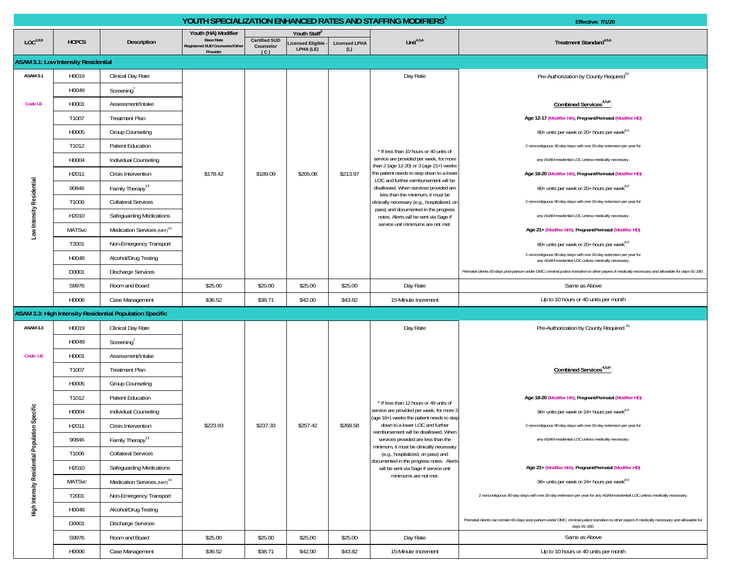|                                    |                                            |                                                          |                                            |                      |                                      |                             | YOUTH SPECIALIZATION ENHANCED RATES AND STAFFING MODIFIERS <sup>1</sup>            | Effective: 7/1/20                                                                                                                                                |
|------------------------------------|--------------------------------------------|----------------------------------------------------------|--------------------------------------------|----------------------|--------------------------------------|-----------------------------|------------------------------------------------------------------------------------|------------------------------------------------------------------------------------------------------------------------------------------------------------------|
| LOC <sup>2,8,9</sup>               |                                            |                                                          | Youth (HA) Modifier<br><b>Base Rate</b>    | <b>Certified SUD</b> | Youth Staff <sup>®</sup>             |                             | Unit $4,5,6$                                                                       | Treatment Standard <sup>4,5,6</sup>                                                                                                                              |
|                                    | <b>HCPCS</b>                               | <b>Description</b>                                       | Registered SUD Counselor/Other<br>Provider | Counselor<br>(C)     | <b>icensed Eligible</b><br>LPHA (LE) | <b>Licensed LPHA</b><br>(L) |                                                                                    |                                                                                                                                                                  |
|                                    | <b>ASAM 3.1: Low Intensity Residential</b> |                                                          |                                            |                      |                                      |                             |                                                                                    |                                                                                                                                                                  |
| ASAM 3.1                           | H0019                                      | Clinical Day Rate                                        |                                            |                      |                                      |                             | Day Rate                                                                           | Pre-Authorization by County Required <sup>10</sup>                                                                                                               |
|                                    | H0049                                      | Screening                                                |                                            |                      |                                      |                             |                                                                                    |                                                                                                                                                                  |
| Code U1                            | H0001                                      | Assessment/Intake                                        |                                            |                      |                                      |                             |                                                                                    | Combined Services <sup>4,5,6*</sup> :                                                                                                                            |
|                                    | T1007                                      | <b>Treatment Plan</b>                                    |                                            |                      |                                      |                             |                                                                                    | Age 12-17 (Modifier HA); Pregnant/Perinatal (Modifier HD)                                                                                                        |
|                                    | H0005                                      | Group Counseling                                         |                                            |                      |                                      |                             | * If less than 10 hours or 40 units of                                             | 80+ units per week or 20+ hours per week <sup>8,9</sup>                                                                                                          |
|                                    | T1012                                      | <b>Patient Education</b>                                 |                                            |                      |                                      |                             |                                                                                    | 2 noncontiguous 30-day stays with one 30-day extension per year for                                                                                              |
|                                    | H0004                                      | Individual Counseling                                    |                                            |                      |                                      |                             | service are provided per week, for more<br>than 2 (age 12-20) or 3 (age 21+) weeks | any ASAM residential LOC unless medically necessary.                                                                                                             |
|                                    | H2011                                      | Crisis Intervention                                      | \$178.42                                   | \$189.09             | \$205.08                             | \$213.97                    | the patient needs to step down to a lower<br>LOC and further reimbursement will be | Age 18-20 (Modifier HA); Pregnant/Perinatal (Modifier HD)                                                                                                        |
|                                    | 90846                                      | Family Therapy <sup>13</sup>                             |                                            |                      |                                      |                             | disallowed. When services provided are                                             | 80+ units per week or 20+ hours per week <sup>8,9</sup>                                                                                                          |
|                                    | T1006                                      | <b>Collateral Services</b>                               |                                            |                      |                                      |                             | less than the minimum, it must be<br>clinically necessary (e.g., hospitalized, or  | 2 noncontiguous 90-day stays with one 30-day extension per year for                                                                                              |
|                                    | H2010                                      | Safeguarding Medications                                 |                                            |                      |                                      |                             | pass) and documented in the progress<br>notes. Alerts will be sent via Sage if     | any ASAM residential LOC unless medically necessary.                                                                                                             |
| Low Intensity Residential          | <b>MATSvc</b>                              | Medication Services (MAT) <sup>13</sup>                  |                                            |                      |                                      |                             | service unit minimums are not met.                                                 | Age 21+ (Modifier N/A); Pregnant/Perinatal (Modifier HD)                                                                                                         |
|                                    | T2001                                      | Non-Emergency Transport                                  |                                            |                      |                                      |                             |                                                                                    | 80+ units per week or 20+ hours per week <sup>8,9</sup>                                                                                                          |
|                                    | H0048                                      | Alcohol/Drug Testing                                     |                                            |                      |                                      |                             |                                                                                    | 2 noncontiguous 90-day stays with one 30-day extension per year for<br>any ASAM residential LOC unless medically necessary.                                      |
|                                    | D0001                                      | <b>Discharge Services</b>                                |                                            |                      |                                      |                             |                                                                                    | Perinatal clients 60-days post-partum under DMC; criminal justice transition to other payers if medically necessary and allowable for days 91-180                |
|                                    | S9976                                      | Room and Board                                           | \$25.00                                    | \$25.00              | \$25.00                              | \$25.00                     | Day Rate                                                                           | Same as Above                                                                                                                                                    |
|                                    | H0006                                      | Case Management                                          | \$36.52                                    | \$38.71              | \$42.00                              | \$43.82                     | 15-Minute Increment                                                                | Up to 10 hours or 40 units per month                                                                                                                             |
|                                    |                                            | ASAM 3.3: High Intensity Residential Population Specific |                                            |                      |                                      |                             |                                                                                    |                                                                                                                                                                  |
| ASAM 3.3                           | H0019                                      | Clinical Day Rate                                        |                                            |                      |                                      |                             | Day Rate                                                                           | Pre-Authorization by County Required <sup>10</sup>                                                                                                               |
|                                    | H0049                                      | Screening                                                |                                            |                      |                                      |                             |                                                                                    |                                                                                                                                                                  |
| Code: U2                           | H0001                                      | Assessment/Intake                                        |                                            |                      |                                      |                             |                                                                                    |                                                                                                                                                                  |
|                                    | T1007                                      | <b>Treatment Plan</b>                                    |                                            |                      |                                      |                             |                                                                                    | Combined Services <sup>4,5,6*</sup> :                                                                                                                            |
|                                    | H0005                                      | Group Counseling                                         |                                            |                      |                                      |                             |                                                                                    |                                                                                                                                                                  |
|                                    | T1012                                      | Patient Education                                        |                                            |                      |                                      |                             | * If less than 12 hours or 48 units of                                             | Age 18-20 (Modifier HA); Pregnant/Perinatal (Modifier HD)                                                                                                        |
|                                    | H0004                                      | Individual Counseling                                    |                                            |                      |                                      |                             | service are provided per week, for more 3                                          | 96+ units per week or 24+ hours per week <sup>8,9</sup>                                                                                                          |
| on Specific                        | H2011                                      | Crisis Intervention                                      | \$223.93                                   | \$237.33             | \$257.42                             | \$268.58                    | (age 18+) weeks the patient needs to step<br>down to a lower LOC and further       | 2 noncontiguous 90-day stays with one 30-day extension per year for                                                                                              |
|                                    | 90846                                      | Family Therapy <sup>13</sup>                             |                                            |                      |                                      |                             | reimbursement will be disallowed. When<br>services provided are less than the      | any ASAM residential LOC unless medically necessary.                                                                                                             |
|                                    | T1006                                      | <b>Collateral Services</b>                               |                                            |                      |                                      |                             | minimum, it must be clinically necessary<br>(e.g., hospitalized, on pass) and      |                                                                                                                                                                  |
|                                    | H2010                                      | Safeguarding Medications                                 |                                            |                      |                                      |                             | documented in the progress notes. Alerts<br>will be sent via Sage if service unit  | Age 21+ (Modifier N/A); Pregnant/Perinatal (Modifier HD)                                                                                                         |
|                                    | <b>MATSvc</b>                              | Medication Services (MAT) <sup>13</sup>                  |                                            |                      |                                      |                             | minimums are not met.                                                              | 96+ units per week or 24+ hours per week <sup>8,9</sup>                                                                                                          |
| High Intensity Residential Populat | T2001                                      | Non-Emergency Transport                                  |                                            |                      |                                      |                             |                                                                                    | 2 noncontiguous 90-day stays with one 30-day extension per year for any ASAM residential LOC unless medically necessary.                                         |
|                                    | H0048                                      | Alcohol/Drug Testing                                     |                                            |                      |                                      |                             |                                                                                    |                                                                                                                                                                  |
|                                    | D0001                                      | <b>Discharge Services</b>                                |                                            |                      |                                      |                             |                                                                                    | Perinatal clients can remain 60-days post-partum under DMC; criminal justice transition to other payers if medically necessary and allowable for<br>days 91-180. |
|                                    | S9976                                      | Room and Board                                           | \$25.00                                    | \$25.00              | \$25.00                              | \$25.00                     | Day Rate                                                                           | Same as Above                                                                                                                                                    |
|                                    | H0006                                      | Case Management                                          | \$36.52                                    | \$38.71              | \$42.00                              | \$43.82                     | 15-Minute Increment                                                                | Up to 10 hours or 40 units per month                                                                                                                             |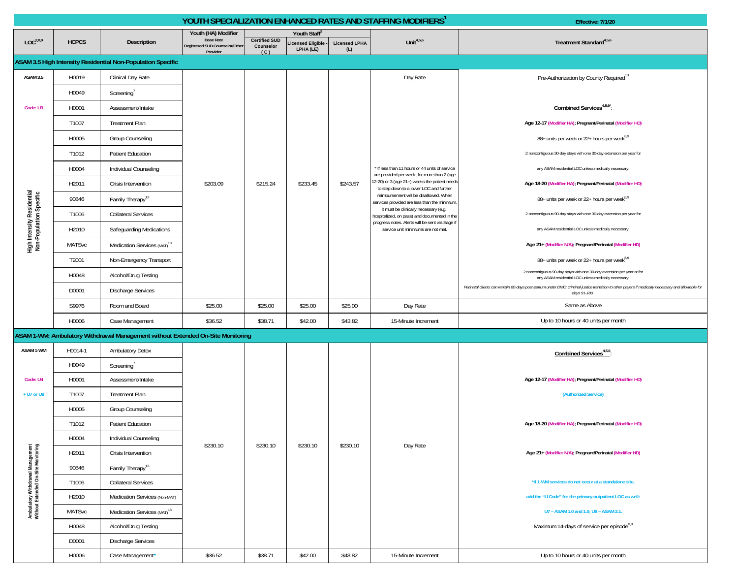|                                                                         |               |                                                                                 |                                                                                       |                                          |                                                      |                             | YOUTH SPECIALIZATION ENHANCED RATES AND STAFFING MODIFIERS <sup>1</sup>                                                                 | Effective: 7/1/20                                                                                                                                                |
|-------------------------------------------------------------------------|---------------|---------------------------------------------------------------------------------|---------------------------------------------------------------------------------------|------------------------------------------|------------------------------------------------------|-----------------------------|-----------------------------------------------------------------------------------------------------------------------------------------|------------------------------------------------------------------------------------------------------------------------------------------------------------------|
| LOC <sup>2,8,9</sup>                                                    | <b>HCPCS</b>  | Description                                                                     | Youth (HA) Modifier<br><b>Base Rate</b><br>Registered SUD Counselor/Other<br>Provider | <b>Certified SUD</b><br>Counselor<br>(C) | Youth Staff®<br><b>icensed Eligible</b><br>LPHA (LE) | <b>Licensed LPHA</b><br>(L) | Unit <sup>4,5,6</sup>                                                                                                                   | Treatment Standard <sup>4,5,6</sup>                                                                                                                              |
|                                                                         |               | ASAM 3.5 High Intensity Residential Non-Population Specific                     |                                                                                       |                                          |                                                      |                             |                                                                                                                                         |                                                                                                                                                                  |
| <b>ASAM 3.5</b>                                                         | H0019         | Clinical Day Rate                                                               |                                                                                       |                                          |                                                      |                             | Day Rate                                                                                                                                | Pre-Authorization by County Required <sup>10</sup>                                                                                                               |
|                                                                         | H0049         | Screening'                                                                      |                                                                                       |                                          |                                                      |                             |                                                                                                                                         |                                                                                                                                                                  |
| Code: U3                                                                | H0001         | Assessment/Intake                                                               |                                                                                       |                                          |                                                      |                             |                                                                                                                                         | Combined Services <sup>4,5,6*</sup> :                                                                                                                            |
|                                                                         | T1007         | <b>Treatment Plan</b>                                                           |                                                                                       |                                          |                                                      |                             |                                                                                                                                         | Age 12-17 (Modifier HA); Pregnant/Perinatal (Modifier HD)                                                                                                        |
|                                                                         | H0005         | Group Counseling                                                                |                                                                                       |                                          |                                                      |                             |                                                                                                                                         | 88+ units per week or 22+ hours per week <sup>8,9</sup>                                                                                                          |
|                                                                         | T1012         | Patient Education                                                               |                                                                                       |                                          |                                                      |                             |                                                                                                                                         | 2 noncontiguous 30-day stays with one 30-day extension per year for                                                                                              |
|                                                                         | H0004         | Individual Counseling                                                           |                                                                                       |                                          |                                                      |                             | * If less than 11 hours or 44 units of service                                                                                          | any ASAM residential LOC unless medically necessary.                                                                                                             |
|                                                                         | H2011         | Crisis Intervention                                                             | \$203.09                                                                              | \$215.24                                 | \$233.45                                             | \$243.57                    | are provided per week, for more than 2 (age<br>12-20) or 3 (age 21+) weeks the patient needs<br>to step down to a lower LOC and further | Age 18-20 (Modifier HA); Pregnant/Perinatal (Modifier HD)                                                                                                        |
|                                                                         | 90846         | Family Therapy <sup>13</sup>                                                    |                                                                                       |                                          |                                                      |                             | reimbursement will be disallowed. When<br>services provided are less than the minimum,                                                  | 88+ units per week or 22+ hours per week <sup>8,9</sup>                                                                                                          |
|                                                                         | T1006         | <b>Collateral Services</b>                                                      |                                                                                       |                                          |                                                      |                             | it must be clinically necessary (e.g.,<br>hospitalized, on pass) and documented in the                                                  | 2 noncontiguous 90-day stays with one 30-day extension per year for                                                                                              |
| High Intensity Residential<br>Non-Population Specific                   | H2010         | Safeguarding Medications                                                        |                                                                                       |                                          |                                                      |                             | progress notes. Alerts will be sent via Sage if<br>service unit minimums are not met.                                                   | any ASAM residential LOC unless medically necessary.                                                                                                             |
|                                                                         | <b>MATSvc</b> | Medication Services (MAT) <sup>13</sup>                                         |                                                                                       |                                          |                                                      |                             |                                                                                                                                         | Age 21+ (Modifier N/A); Pregnant/Perinatal (Modifier HD)                                                                                                         |
|                                                                         | T2001         | Non-Emergency Transport                                                         |                                                                                       |                                          |                                                      |                             |                                                                                                                                         | 88+ units per week or 22+ hours per week <sup>8,9</sup>                                                                                                          |
|                                                                         | H0048         | Alcohol/Drug Testing                                                            |                                                                                       |                                          |                                                      |                             |                                                                                                                                         | 2 noncontiguous 90-day stays with one 30-day extension per year at for<br>any ASAM residential LOC unless medically necessary.                                   |
|                                                                         | D0001         | <b>Discharge Services</b>                                                       |                                                                                       |                                          |                                                      |                             |                                                                                                                                         | Perinatal clients can remain 60-days post-partum under DMC; criminal justice transition to other payers if medically necessary and allowable for<br>days 91-180. |
|                                                                         | S9976         | Room and Board                                                                  | \$25.00                                                                               | \$25.00                                  | \$25.00                                              | \$25.00                     | Day Rate                                                                                                                                | Same as Above                                                                                                                                                    |
|                                                                         | H0006         | Case Management                                                                 | \$36.52                                                                               | \$38.71                                  | \$42.00                                              | \$43.82                     | 15-Minute Increment                                                                                                                     | Up to 10 hours or 40 units per month                                                                                                                             |
|                                                                         |               | ASAM 1-WM: Ambulatory Withdrawal Management without Extended On-Site Monitoring |                                                                                       |                                          |                                                      |                             |                                                                                                                                         |                                                                                                                                                                  |
| ASAM 1-WM                                                               | H0014-1       | <b>Ambulatory Detox</b>                                                         |                                                                                       |                                          |                                                      |                             |                                                                                                                                         | Combined Services <sup>4,5,6</sup> :                                                                                                                             |
|                                                                         | H0049         | Screening'                                                                      |                                                                                       |                                          |                                                      |                             |                                                                                                                                         |                                                                                                                                                                  |
| Code: U4                                                                | H0001         | Assessment/Intake                                                               |                                                                                       |                                          |                                                      |                             |                                                                                                                                         | Age 12-17 (Modifier HA); Pregnant/Perinatal (Modifier HD)                                                                                                        |
| + U7 or U8                                                              | T1007         | <b>Treatment Plan</b>                                                           |                                                                                       |                                          |                                                      |                             |                                                                                                                                         | (Authorized Service)                                                                                                                                             |
|                                                                         | H0005         | Group Counseling                                                                |                                                                                       |                                          |                                                      |                             |                                                                                                                                         |                                                                                                                                                                  |
|                                                                         | T1012         | <b>Patient Education</b>                                                        |                                                                                       |                                          |                                                      |                             |                                                                                                                                         | Age 18-20 (Modifier HA); Pregnant/Perinatal (Modifier HD)                                                                                                        |
|                                                                         | H0004         | Individual Counseling                                                           | \$230.10                                                                              | \$230.10                                 | \$230.10                                             | \$230.10                    | Day Rate                                                                                                                                |                                                                                                                                                                  |
|                                                                         | H2011         | Crisis Intervention                                                             |                                                                                       |                                          |                                                      |                             |                                                                                                                                         | Age 21+ (Modifier N/A); Pregnant/Perinatal (Modifier HD)                                                                                                         |
|                                                                         | 90846         | Family Therapy <sup>13</sup>                                                    |                                                                                       |                                          |                                                      |                             |                                                                                                                                         |                                                                                                                                                                  |
|                                                                         | T1006         | <b>Collateral Services</b>                                                      |                                                                                       |                                          |                                                      |                             |                                                                                                                                         | *If 1-WM services do not occur at a standalone site,                                                                                                             |
| Ambulatory Withdrawal Management<br>Without Extended On-Site Monitoring | H2010         | Medication Services (Non-MAT)                                                   |                                                                                       |                                          |                                                      |                             |                                                                                                                                         | add the "U Code" for the primary outpatient LOC as well:                                                                                                         |
|                                                                         | <b>MATSvc</b> | Medication Services (MAT) <sup>13</sup>                                         |                                                                                       |                                          |                                                      |                             |                                                                                                                                         | U7 - ASAM 1.0 and 1.0; U8 - ASAM 2.1.                                                                                                                            |
|                                                                         | H0048         | Alcohol/Drug Testing                                                            |                                                                                       |                                          |                                                      |                             |                                                                                                                                         | Maximum 14-days of service per episode <sup>8,9</sup>                                                                                                            |
|                                                                         | D0001         | <b>Discharge Services</b>                                                       |                                                                                       |                                          |                                                      |                             |                                                                                                                                         |                                                                                                                                                                  |
|                                                                         | H0006         | Case Management*                                                                | \$36.52                                                                               | \$38.71                                  | \$42.00                                              | \$43.82                     | 15-Minute Increment                                                                                                                     | Up to 10 hours or 40 units per month                                                                                                                             |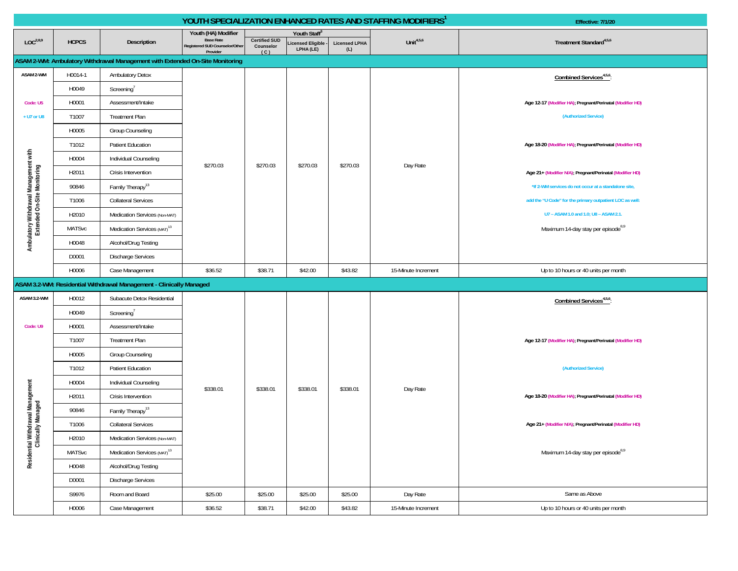|                                                                      |               |                                                                              |                                            |                      |                                 |                             | YOUTH SPECIALIZATION ENHANCED RATES AND STAFFING MODIFIERS <sup>1</sup> | Effective: 7/1/20                                         |
|----------------------------------------------------------------------|---------------|------------------------------------------------------------------------------|--------------------------------------------|----------------------|---------------------------------|-----------------------------|-------------------------------------------------------------------------|-----------------------------------------------------------|
|                                                                      |               |                                                                              | Youth (HA) Modifier<br><b>Base Rate</b>    | <b>Certified SUD</b> | Youth Staff <sup>3</sup>        |                             |                                                                         |                                                           |
| LOC <sup>2,8,9</sup>                                                 | <b>HCPCS</b>  | Description                                                                  | Registered SUD Counselor/Other<br>Provider | Counselor<br>(C)     | icensed Eligible -<br>LPHA (LE) | <b>Licensed LPHA</b><br>(L) | Unit $4,5,6$                                                            | Treatment Standard <sup>4,5,6</sup>                       |
|                                                                      |               | ASAM 2-WM: Ambulatory Withdrawal Management with Extended On-Site Monitoring |                                            |                      |                                 |                             |                                                                         |                                                           |
| ASAM 2-WM                                                            | H0014-1       | <b>Ambulatory Detox</b>                                                      |                                            |                      |                                 |                             |                                                                         | Combined Services <sup>4,5,6</sup>                        |
|                                                                      | H0049         | Screening <sup>'</sup>                                                       |                                            |                      |                                 |                             |                                                                         |                                                           |
| Code: U5                                                             | H0001         | Assessment/Intake                                                            |                                            |                      |                                 |                             |                                                                         | Age 12-17 (Modifier HA); Pregnant/Perinatal (Modifier HD) |
| + U7 or U8                                                           | T1007         | <b>Treatment Plan</b>                                                        |                                            |                      |                                 |                             |                                                                         | (Authorized Service)                                      |
|                                                                      | H0005         | Group Counseling                                                             |                                            |                      |                                 |                             |                                                                         |                                                           |
|                                                                      | T1012         | Patient Education                                                            |                                            |                      |                                 |                             |                                                                         | Age 18-20 (Modifier HA); Pregnant/Perinatal (Modifier HD) |
|                                                                      | H0004         | Individual Counseling                                                        | \$270.03                                   | \$270.03             | \$270.03                        | \$270.03                    | Day Rate                                                                |                                                           |
|                                                                      | H2011         | Crisis Intervention                                                          |                                            |                      |                                 |                             |                                                                         | Age 21+ (Modifier N/A); Pregnant/Perinatal (Modifier HD)  |
|                                                                      | 90846         | Family Therapy <sup>13</sup>                                                 |                                            |                      |                                 |                             |                                                                         | *If 2-WM services do not occur at a standalone site,      |
| Ambulatory Withdrawal Management with<br>Extended On-Site Monitoring | T1006         | <b>Collateral Services</b>                                                   |                                            |                      |                                 |                             |                                                                         | add the "U Code" for the primary outpatient LOC as well:  |
|                                                                      | H2010         | Medication Services (Non-MAT)                                                |                                            |                      |                                 |                             |                                                                         | U7 - ASAM 1.0 and 1.0; U8 - ASAM 2.1.                     |
|                                                                      | <b>MATSvc</b> | Medication Services (MAT) <sup>13</sup>                                      |                                            |                      |                                 |                             |                                                                         | Maximum 14-day stay per episode <sup>8,9</sup>            |
|                                                                      | H0048         | Alcohol/Drug Testing                                                         |                                            |                      |                                 |                             |                                                                         |                                                           |
|                                                                      | D0001         | Discharge Services                                                           |                                            |                      |                                 |                             |                                                                         |                                                           |
|                                                                      | H0006         | Case Management                                                              | \$36.52                                    | \$38.71              | \$42.00                         | \$43.82                     | 15-Minute Increment                                                     | Up to 10 hours or 40 units per month                      |
|                                                                      |               | ASAM 3.2-WM: Residential Withdrawal Management - Clinically Managed          |                                            |                      |                                 |                             |                                                                         |                                                           |
| ASAM 3.2-WM                                                          | H0012         | Subacute Detox Residential                                                   |                                            |                      |                                 |                             |                                                                         | Combined Services <sup>4,5,6</sup>                        |
|                                                                      | H0049         | Screening <sup>'</sup>                                                       |                                            |                      |                                 |                             |                                                                         |                                                           |
| Code: U9                                                             | H0001         | Assessment/Intake                                                            |                                            |                      |                                 |                             |                                                                         |                                                           |
|                                                                      | T1007         | <b>Treatment Plan</b>                                                        |                                            |                      |                                 |                             |                                                                         | Age 12-17 (Modifier HA); Pregnant/Perinatal (Modifier HD) |
|                                                                      | H0005         | Group Counseling                                                             |                                            |                      |                                 |                             |                                                                         |                                                           |
|                                                                      | T1012         | Patient Education                                                            |                                            |                      |                                 |                             |                                                                         | (Authorized Service)                                      |
|                                                                      | H0004         | Individual Counseling                                                        | \$338.01                                   | \$338.01             | \$338.01                        | \$338.01                    | Day Rate                                                                |                                                           |
|                                                                      | H2011         | Crisis Intervention                                                          |                                            |                      |                                 |                             |                                                                         | Age 18-20 (Modifier HA); Pregnant/Perinatal (Modifier HD) |
|                                                                      | 90846         | Family Therapy <sup>13</sup>                                                 |                                            |                      |                                 |                             |                                                                         |                                                           |
| Residential Withdrawal Management<br>Clinically Managed              | T1006         | <b>Collateral Services</b>                                                   |                                            |                      |                                 |                             |                                                                         | Age 21+ (Modifier N/A); Pregnant/Perinatal (Modifier HD)  |
|                                                                      | H2010         | Medication Services (Non-MAT)                                                |                                            |                      |                                 |                             |                                                                         |                                                           |
|                                                                      | MATSvc        | Medication Services (MAT) <sup>13</sup>                                      |                                            |                      |                                 |                             |                                                                         | Maximum 14-day stay per episode <sup>8,9</sup>            |
|                                                                      | H0048         | Alcohol/Drug Testing                                                         |                                            |                      |                                 |                             |                                                                         |                                                           |
|                                                                      | D0001         | Discharge Services                                                           |                                            |                      |                                 |                             |                                                                         |                                                           |
|                                                                      | S9976         | Room and Board                                                               | \$25.00                                    | \$25.00              | \$25.00                         | \$25.00                     | Day Rate                                                                | Same as Above                                             |
|                                                                      | H0006         | Case Management                                                              | \$36.52                                    | \$38.71              | \$42.00                         | \$43.82                     | 15-Minute Increment                                                     | Up to 10 hours or 40 units per month                      |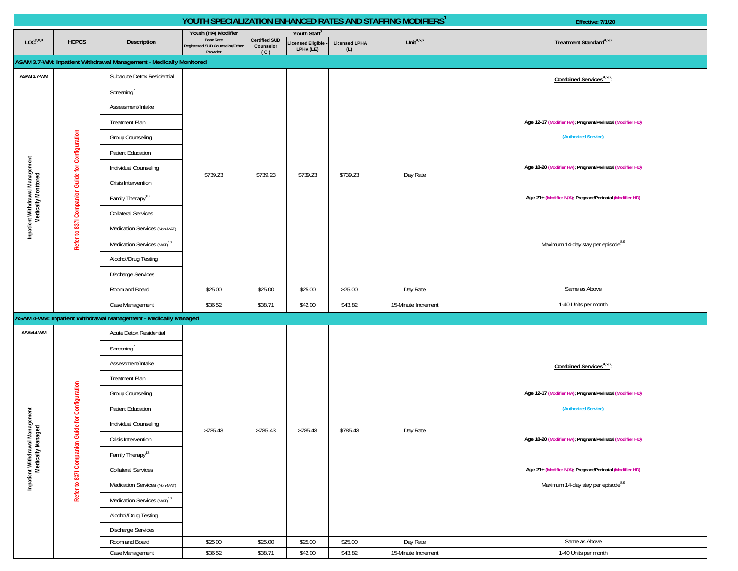|                                                        |                                                 |                                                                    |                                            |                      |                                         | YOUTH SPECIALIZATION ENHANCED RATES AND STAFFING MODIFIERS <sup>1</sup> | Effective: 7/1/20   |                                                           |
|--------------------------------------------------------|-------------------------------------------------|--------------------------------------------------------------------|--------------------------------------------|----------------------|-----------------------------------------|-------------------------------------------------------------------------|---------------------|-----------------------------------------------------------|
|                                                        |                                                 |                                                                    | Youth (HA) Modifier<br><b>Base Rate</b>    | <b>Certified SUD</b> | Youth Staff <sup>3</sup>                |                                                                         | Unit $4,5,6$        |                                                           |
| LOC <sup>2,8,9</sup>                                   | <b>HCPCS</b>                                    | Description                                                        | Registered SUD Counselor/Other<br>Provider | Counselor<br>(C)     | <b>Licensed Eligible -</b><br>LPHA (LE) | <b>Licensed LPHA</b><br>(L)                                             |                     | Treatment Standard <sup>4,5,6</sup>                       |
|                                                        |                                                 | ASAM 3.7-WM: Inpatient Withdrawal Management - Medically Monitored |                                            |                      |                                         |                                                                         |                     |                                                           |
| ASAM 3.7-WM                                            |                                                 | Subacute Detox Residential                                         |                                            |                      |                                         |                                                                         |                     | Combined Services <sup>4,5,6</sup> :                      |
|                                                        |                                                 | Screening <sup>7</sup>                                             |                                            |                      |                                         |                                                                         |                     |                                                           |
|                                                        |                                                 | Assessment/Intake                                                  |                                            |                      |                                         |                                                                         |                     |                                                           |
|                                                        |                                                 | <b>Treatment Plan</b>                                              |                                            |                      |                                         |                                                                         |                     | Age 12-17 (Modifier HA); Pregnant/Perinatal (Modifier HD) |
|                                                        |                                                 | <b>Group Counseling</b>                                            |                                            |                      |                                         |                                                                         |                     | (Authorized Service)                                      |
|                                                        |                                                 | Patient Education                                                  |                                            |                      |                                         |                                                                         |                     |                                                           |
|                                                        |                                                 | Individual Counseling                                              |                                            |                      |                                         |                                                                         |                     | Age 18-20 (Modifier HA); Pregnant/Perinatal (Modifier HD) |
|                                                        |                                                 | Crisis Intervention                                                | \$739.23                                   | \$739.23             | \$739.23                                | \$739.23                                                                | Day Rate            |                                                           |
|                                                        |                                                 | Family Therapy <sup>13</sup>                                       |                                            |                      |                                         |                                                                         |                     | Age 21+ (Modifier N/A); Pregnant/Perinatal (Modifier HD)  |
|                                                        |                                                 | <b>Collateral Services</b>                                         |                                            |                      |                                         |                                                                         |                     |                                                           |
| Inpatient Withdrawal Management<br>Medically Monitored |                                                 | Medication Services (Non-MAT)                                      |                                            |                      |                                         |                                                                         |                     |                                                           |
|                                                        | Refer to 837I Companion Guide for Configuration | Medication Services (MAT) <sup>13</sup>                            |                                            |                      |                                         |                                                                         |                     | Maximum 14-day stay per episode <sup>8,9</sup>            |
|                                                        |                                                 | Alcohol/Drug Testing                                               |                                            |                      |                                         |                                                                         |                     |                                                           |
|                                                        |                                                 | <b>Discharge Services</b>                                          |                                            |                      |                                         |                                                                         |                     |                                                           |
|                                                        |                                                 | Room and Board                                                     | \$25.00                                    | \$25.00              | \$25.00                                 | \$25.00                                                                 | Day Rate            | Same as Above                                             |
|                                                        |                                                 | Case Management                                                    | \$36.52                                    | \$38.71              | \$42.00                                 | \$43.82                                                                 | 15-Minute Increment | 1-40 Units per month                                      |
|                                                        |                                                 | ASAM 4-WM: Inpatient Withdrawal Management - Medically Managed     |                                            |                      |                                         |                                                                         |                     |                                                           |
| ASAM 4-WM                                              |                                                 | Acute Detox Residential                                            |                                            |                      |                                         |                                                                         |                     |                                                           |
|                                                        |                                                 | Screening <sup>7</sup>                                             |                                            |                      |                                         |                                                                         |                     |                                                           |
|                                                        |                                                 | Assessment/Intake                                                  |                                            |                      |                                         |                                                                         |                     | Combined Services <sup>4,5,6</sup> :                      |
|                                                        |                                                 | <b>Treatment Plan</b>                                              |                                            |                      |                                         |                                                                         |                     |                                                           |
|                                                        |                                                 | <b>Group Counseling</b>                                            |                                            |                      |                                         |                                                                         |                     | Age 12-17 (Modifier HA); Pregnant/Perinatal (Modifier HD) |
|                                                        | de for Configuration                            | <b>Patient Education</b>                                           |                                            |                      |                                         |                                                                         |                     | (Authorized Service)                                      |
|                                                        |                                                 | Individual Counseling                                              | \$785.43                                   | \$785.43             | \$785.43                                | \$785.43                                                                | Day Rate            |                                                           |
|                                                        |                                                 | Crisis Intervention                                                |                                            |                      |                                         |                                                                         |                     | Age 18-20 (Modifier HA); Pregnant/Perinatal (Modifier HD) |
|                                                        |                                                 | Family Therapy <sup>13</sup>                                       |                                            |                      |                                         |                                                                         |                     |                                                           |
| Inpatient Withdrawal Management<br>Medically Managed   | Refer to 8371 Companion Gu                      | <b>Collateral Services</b>                                         |                                            |                      |                                         |                                                                         |                     | Age 21+ (Modifier N/A); Pregnant/Perinatal (Modifier HD)  |
|                                                        |                                                 | Medication Services (Non-MAT)                                      |                                            |                      |                                         |                                                                         |                     | Maximum 14-day stay per episode <sup>8,9</sup>            |
|                                                        |                                                 | Medication Services (MAT) <sup>13</sup>                            |                                            |                      |                                         |                                                                         |                     |                                                           |
|                                                        |                                                 | Alcohol/Drug Testing                                               |                                            |                      |                                         |                                                                         |                     |                                                           |
|                                                        |                                                 | <b>Discharge Services</b>                                          |                                            |                      |                                         |                                                                         |                     |                                                           |
|                                                        |                                                 | Room and Board                                                     | \$25.00                                    | \$25.00              | \$25.00                                 | \$25.00                                                                 | Day Rate            | Same as Above                                             |
|                                                        |                                                 | Case Management                                                    | \$36.52                                    | \$38.71              | \$42.00                                 | \$43.82                                                                 | 15-Minute Increment | 1-40 Units per month                                      |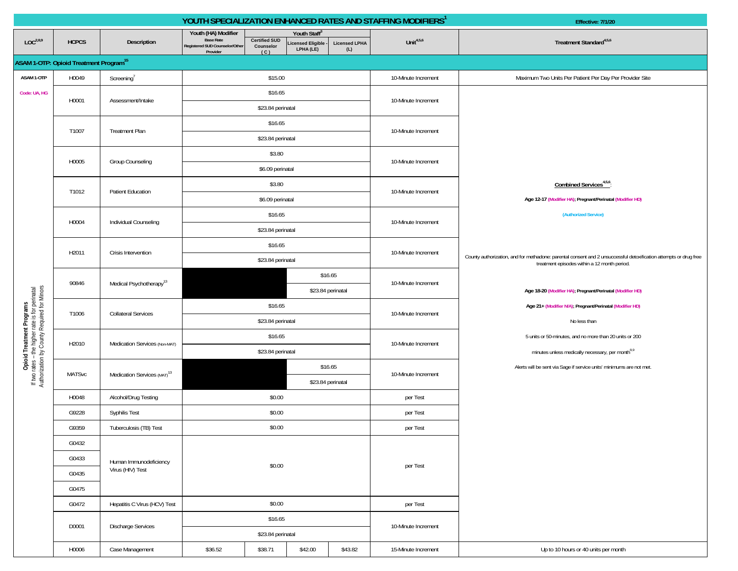|                                                                                                                             |                                                          |                                         |                                            |                      |                                 |                                                                                                                                                | YOUTH SPECIALIZATION ENHANCED RATES AND STAFFING MODIFIERS <sup>1</sup> | Effective: 7/1/20                                                                                                                                                 |
|-----------------------------------------------------------------------------------------------------------------------------|----------------------------------------------------------|-----------------------------------------|--------------------------------------------|----------------------|---------------------------------|------------------------------------------------------------------------------------------------------------------------------------------------|-------------------------------------------------------------------------|-------------------------------------------------------------------------------------------------------------------------------------------------------------------|
| LOC <sup>2,8,9</sup>                                                                                                        | <b>HCPCS</b>                                             | Description                             | Youth (HA) Modifier<br><b>Base Rate</b>    | <b>Certified SUD</b> | Youth Staff®                    | <b>Licensed LPHA</b>                                                                                                                           | Unit $4,5,6$                                                            | Treatment Standard <sup>4,5,6</sup>                                                                                                                               |
|                                                                                                                             |                                                          |                                         | Registered SUD Counselor/Other<br>Provider | Counselor<br>(C)     | icensed Eligible ·<br>LPHA (LE) | (L)                                                                                                                                            |                                                                         |                                                                                                                                                                   |
|                                                                                                                             | <b>ASAM 1-OTP: Opioid Treatment Program<sup>15</sup></b> |                                         |                                            |                      |                                 |                                                                                                                                                |                                                                         |                                                                                                                                                                   |
| ASAM 1-OTP                                                                                                                  | H0049                                                    | Screening <sup>7</sup>                  |                                            | \$15.00              |                                 |                                                                                                                                                | 10-Minute Increment                                                     | Maximum Two Units Per Patient Per Day Per Provider Site                                                                                                           |
| Code: UA, HG                                                                                                                | H0001                                                    | Assessment/Intake                       |                                            | \$16.65              |                                 |                                                                                                                                                | 10-Minute Increment                                                     |                                                                                                                                                                   |
|                                                                                                                             |                                                          |                                         |                                            | \$23.84 perinatal    |                                 |                                                                                                                                                |                                                                         |                                                                                                                                                                   |
|                                                                                                                             | T1007                                                    | <b>Treatment Plan</b>                   |                                            | \$16.65              |                                 |                                                                                                                                                | 10-Minute Increment                                                     |                                                                                                                                                                   |
|                                                                                                                             |                                                          |                                         |                                            | \$23.84 perinatal    |                                 |                                                                                                                                                |                                                                         |                                                                                                                                                                   |
|                                                                                                                             |                                                          |                                         |                                            | \$3.80               |                                 |                                                                                                                                                |                                                                         |                                                                                                                                                                   |
|                                                                                                                             | H0005                                                    | <b>Group Counseling</b>                 |                                            | \$6.09 perinatal     |                                 |                                                                                                                                                | 10-Minute Increment                                                     |                                                                                                                                                                   |
|                                                                                                                             |                                                          |                                         | \$3.80                                     |                      |                                 |                                                                                                                                                |                                                                         | Combined Services <sup>4,5,6</sup>                                                                                                                                |
|                                                                                                                             | T1012                                                    | <b>Patient Education</b>                |                                            | \$6.09 perinatal     |                                 |                                                                                                                                                | 10-Minute Increment                                                     | Age 12-17 (Modifier HA); Pregnant/Perinatal (Modifier HD)                                                                                                         |
|                                                                                                                             |                                                          |                                         |                                            | \$16.65              |                                 |                                                                                                                                                |                                                                         | (Authorized Service)                                                                                                                                              |
|                                                                                                                             | H0004                                                    | Individual Counseling                   |                                            | \$23.84 perinatal    |                                 |                                                                                                                                                | 10-Minute Increment                                                     |                                                                                                                                                                   |
|                                                                                                                             |                                                          |                                         |                                            | \$16.65              |                                 |                                                                                                                                                |                                                                         |                                                                                                                                                                   |
|                                                                                                                             | H2011                                                    | Crisis Intervention                     |                                            | \$23.84 perinatal    |                                 |                                                                                                                                                | 10-Minute Increment                                                     | County authorization, and for methadone: parental consent and 2 unsuccessful detoxification attempts or drug free<br>treatment episodes within a 12 month period. |
|                                                                                                                             | 90846                                                    | Medical Psychotherapy <sup>13</sup>     |                                            |                      |                                 | \$16.65                                                                                                                                        | 10-Minute Increment                                                     |                                                                                                                                                                   |
|                                                                                                                             |                                                          |                                         |                                            |                      |                                 | \$23.84 perinatal                                                                                                                              |                                                                         | Age 18-20 (Modifier HA); Pregnant/Perinatal (Modifier HD)                                                                                                         |
| Opioid Treatment Programs<br>If two rates - the higher rate is for perinatal<br>Authorization by County Required for Minors | T1006                                                    | <b>Collateral Services</b>              | \$16.65                                    |                      |                                 |                                                                                                                                                | 10-Minute Increment                                                     | Age 21+ (Modifier N/A); Pregnant/Perinatal (Modifier HD)                                                                                                          |
|                                                                                                                             |                                                          |                                         | \$23.84 perinatal                          |                      |                                 |                                                                                                                                                |                                                                         | No less than                                                                                                                                                      |
|                                                                                                                             | H2010                                                    | Medication Services (Non-MAT)           |                                            | \$16.65              |                                 | 5 units or 50-minutes, and no more than 20 units or 200<br>10-Minute Increment<br>minutes unless medically necessary, per month <sup>8,9</sup> |                                                                         |                                                                                                                                                                   |
|                                                                                                                             |                                                          |                                         | \$23.84 perinatal                          |                      |                                 |                                                                                                                                                |                                                                         |                                                                                                                                                                   |
|                                                                                                                             | <b>MATSvc</b>                                            | Medication Services (MAT) <sup>13</sup> |                                            |                      |                                 | \$16.65                                                                                                                                        | 10-Minute Increment                                                     | Alerts will be sent via Sage if service units' minimums are not met.                                                                                              |
|                                                                                                                             |                                                          |                                         |                                            |                      |                                 | \$23.84 perinatal                                                                                                                              |                                                                         |                                                                                                                                                                   |
|                                                                                                                             | H0048                                                    | Alcohol/Drug Testing                    |                                            | \$0.00               |                                 |                                                                                                                                                | per Test                                                                |                                                                                                                                                                   |
|                                                                                                                             | G9228                                                    | Syphilis Test                           |                                            | \$0.00               |                                 |                                                                                                                                                | per Test                                                                |                                                                                                                                                                   |
|                                                                                                                             | G9359                                                    | Tuberculosis (TB) Test                  |                                            | \$0.00               |                                 |                                                                                                                                                | per Test                                                                |                                                                                                                                                                   |
|                                                                                                                             | G0432                                                    |                                         |                                            |                      |                                 |                                                                                                                                                |                                                                         |                                                                                                                                                                   |
|                                                                                                                             | G0433                                                    | Human Immunodeficiency                  |                                            | \$0.00               |                                 |                                                                                                                                                |                                                                         |                                                                                                                                                                   |
|                                                                                                                             | G0435                                                    | Virus (HIV) Test                        |                                            |                      |                                 |                                                                                                                                                | per Test                                                                |                                                                                                                                                                   |
|                                                                                                                             | G0475                                                    |                                         |                                            |                      |                                 |                                                                                                                                                |                                                                         |                                                                                                                                                                   |
|                                                                                                                             | G0472                                                    | Hepatitis C Virus (HCV) Test            |                                            | \$0.00               |                                 |                                                                                                                                                | per Test                                                                |                                                                                                                                                                   |
|                                                                                                                             |                                                          |                                         |                                            | \$16.65              |                                 |                                                                                                                                                |                                                                         |                                                                                                                                                                   |
|                                                                                                                             | D0001                                                    | <b>Discharge Services</b>               |                                            | \$23.84 perinatal    |                                 |                                                                                                                                                | 10-Minute Increment                                                     |                                                                                                                                                                   |
|                                                                                                                             | H0006                                                    | Case Management                         | \$36.52                                    | \$38.71              | \$42.00                         | \$43.82                                                                                                                                        | 15-Minute Increment                                                     | Up to 10 hours or 40 units per month                                                                                                                              |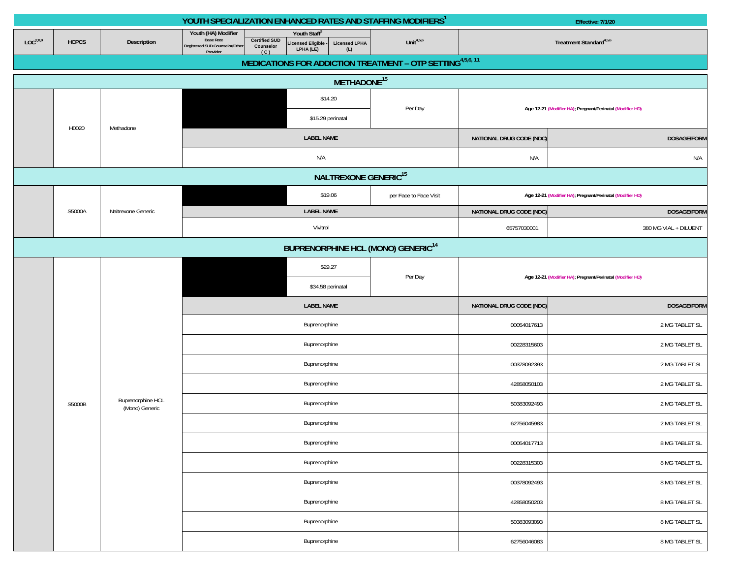|                                                |              |                                     | YOUTH SPECIALIZATION ENHANCED RATES AND STAFFING MODIFIERS <sup>1</sup>                                                           |                                                                                           |                                                           | Effective: 7/1/20                   |                                                           |  |  |  |  |
|------------------------------------------------|--------------|-------------------------------------|-----------------------------------------------------------------------------------------------------------------------------------|-------------------------------------------------------------------------------------------|-----------------------------------------------------------|-------------------------------------|-----------------------------------------------------------|--|--|--|--|
| LOC <sup>2,8,9</sup>                           | <b>HCPCS</b> | Description                         | Youth (HA) Modifier<br><b>Base Rate</b><br><b>Certified SUD</b><br>Registered SUD Counselor/Other<br>Counselor<br>Provider<br>(C) | Youth Staff <sup>3</sup><br><b>Licensed LPHA</b><br>Licensed Eligible<br>LPHA (LE)<br>(L) | Unit $4,5,6$                                              | Treatment Standard <sup>4,5,6</sup> |                                                           |  |  |  |  |
|                                                |              |                                     |                                                                                                                                   |                                                                                           | MEDICATIONS FOR ADDICTION TREATMENT - OTP SETTING4,5,6,11 |                                     |                                                           |  |  |  |  |
|                                                |              |                                     |                                                                                                                                   | METHADONE <sup>15</sup>                                                                   |                                                           |                                     |                                                           |  |  |  |  |
|                                                |              |                                     |                                                                                                                                   | \$14.20<br>Per Day                                                                        |                                                           |                                     | Age 12-21 (Modifier HA); Pregnant/Perinatal (Modifier HD) |  |  |  |  |
|                                                |              |                                     |                                                                                                                                   | \$15.29 perinatal                                                                         |                                                           |                                     |                                                           |  |  |  |  |
|                                                | H0020        | Methadone                           |                                                                                                                                   | <b>LABEL NAME</b>                                                                         |                                                           | NATIONAL DRUG CODE (NDC)            | <b>DOSAGE/FORM</b>                                        |  |  |  |  |
|                                                |              |                                     |                                                                                                                                   | N/A                                                                                       |                                                           | N/A                                 | N/A                                                       |  |  |  |  |
|                                                |              |                                     |                                                                                                                                   | NALTREXONE GENERIC <sup>15</sup>                                                          |                                                           |                                     |                                                           |  |  |  |  |
|                                                |              |                                     |                                                                                                                                   | \$19.06                                                                                   | per Face to Face Visit                                    |                                     | Age 12-21 (Modifier HA); Pregnant/Perinatal (Modifier HD) |  |  |  |  |
|                                                | S5000A       | Naltrexone Generic                  |                                                                                                                                   | <b>LABEL NAME</b>                                                                         |                                                           | NATIONAL DRUG CODE (NDC)            | DOSAGE/FORM                                               |  |  |  |  |
|                                                |              |                                     |                                                                                                                                   | Vivitrol                                                                                  |                                                           | 65757030001                         | 380 MG VIAL + DILUENT                                     |  |  |  |  |
| BUPRENORPHINE HCL (MONO) GENERIC <sup>14</sup> |              |                                     |                                                                                                                                   |                                                                                           |                                                           |                                     |                                                           |  |  |  |  |
|                                                |              |                                     |                                                                                                                                   | \$29.27                                                                                   |                                                           |                                     |                                                           |  |  |  |  |
|                                                |              |                                     |                                                                                                                                   | \$34.58 perinatal                                                                         | Per Day                                                   |                                     | Age 12-21 (Modifier HA); Pregnant/Perinatal (Modifier HD) |  |  |  |  |
|                                                |              |                                     |                                                                                                                                   | <b>LABEL NAME</b>                                                                         |                                                           | NATIONAL DRUG CODE (NDC)            | <b>DOSAGE/FORM</b>                                        |  |  |  |  |
|                                                |              |                                     |                                                                                                                                   | Buprenorphine                                                                             |                                                           | 00054017613                         | 2 MG TABLET SL                                            |  |  |  |  |
|                                                |              |                                     |                                                                                                                                   | Buprenorphine                                                                             |                                                           | 00228315603                         | 2 MG TABLET SL                                            |  |  |  |  |
|                                                |              |                                     |                                                                                                                                   | Buprenorphine                                                                             |                                                           | 00378092393                         | 2 MG TABLET SL                                            |  |  |  |  |
|                                                |              |                                     |                                                                                                                                   | Buprenorphine                                                                             |                                                           | 42858050103                         | 2 MG TABLET SL                                            |  |  |  |  |
|                                                | S5000B       | Buprenorphine HCL<br>(Mono) Generic |                                                                                                                                   | Buprenorphine                                                                             |                                                           | 50383092493                         | 2 MG TABLET SL                                            |  |  |  |  |
|                                                |              |                                     |                                                                                                                                   | Buprenorphine                                                                             |                                                           | 62756045983                         | 2 MG TABLET SL                                            |  |  |  |  |
|                                                |              |                                     |                                                                                                                                   | Buprenorphine                                                                             |                                                           | 00054017713                         | 8 MG TABLET SL                                            |  |  |  |  |
|                                                |              |                                     |                                                                                                                                   | Buprenorphine                                                                             |                                                           | 00228315303                         | 8 MG TABLET SL                                            |  |  |  |  |
|                                                |              |                                     |                                                                                                                                   | Buprenorphine                                                                             |                                                           | 00378092493                         | 8 MG TABLET SL                                            |  |  |  |  |
|                                                |              |                                     |                                                                                                                                   | Buprenorphine                                                                             |                                                           | 42858050203                         | 8 MG TABLET SL                                            |  |  |  |  |
|                                                |              |                                     |                                                                                                                                   | Buprenorphine                                                                             |                                                           | 50383093093                         | 8 MG TABLET SL                                            |  |  |  |  |
|                                                |              |                                     |                                                                                                                                   | Buprenorphine                                                                             |                                                           | 62756046083                         | 8 MG TABLET SL                                            |  |  |  |  |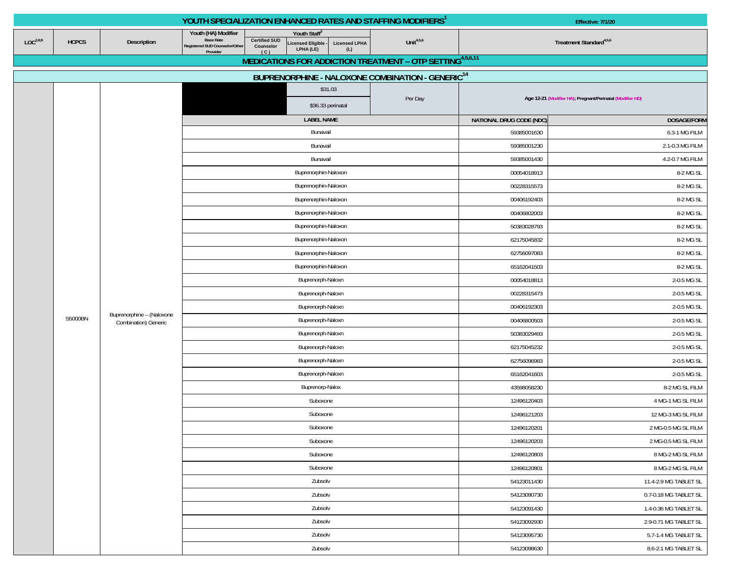|                      |                 |                           | YOUTH SPECIALIZATION ENHANCED RATES AND STAFFING MODIFIERS <sup>1</sup>               |                                                                                            |                             |              | Effective: 7/1/20                                         |                       |  |
|----------------------|-----------------|---------------------------|---------------------------------------------------------------------------------------|--------------------------------------------------------------------------------------------|-----------------------------|--------------|-----------------------------------------------------------|-----------------------|--|
| LOC <sup>2,8,9</sup> | <b>HCPCS</b>    | Description               | Youth (HA) Modifier<br><b>Base Rate</b><br>Registered SUD Counselor/Other<br>Provider | Youth Staff®<br><b>Certified SUD</b><br>Licensed Eligible<br>Counselor<br>LPHA (LE)<br>(C) | <b>Licensed LPHA</b><br>(L) | Unit $4,5,6$ | Treatment Standard <sup>4,5,6</sup>                       |                       |  |
|                      |                 |                           |                                                                                       | MEDICATIONS FOR ADDICTION TREATMENT - OTP SETTING4,5,6,11                                  |                             |              |                                                           |                       |  |
|                      |                 |                           |                                                                                       | BUPRENORPHINE - NALOXONE COMBINATION - GENERIC <sup>14</sup>                               |                             |              |                                                           |                       |  |
|                      |                 |                           |                                                                                       | \$31.03<br>\$36.33 perinatal                                                               |                             | Per Day      | Age 12-21 (Modifier HA), Pregnant/Perinatal (Modifier HD) |                       |  |
|                      |                 |                           |                                                                                       | <b>LABEL NAME</b>                                                                          |                             |              | NATIONAL DRUG CODE (NDC)                                  | DOSAGE/FORM           |  |
|                      |                 |                           |                                                                                       | Bunavail                                                                                   |                             |              | 59385001630                                               | 6.3-1 MG FILM         |  |
|                      |                 |                           |                                                                                       | Bunavail                                                                                   |                             |              | 59385001230                                               | 2.1-0.3 MG FILM       |  |
|                      |                 |                           |                                                                                       | Bunavail                                                                                   |                             |              | 59385001430                                               | 4.2-0.7 MG FILM       |  |
|                      |                 |                           |                                                                                       | Buprenorphin-Naloxon                                                                       |                             | 00054018913  | 8-2 MG SL                                                 |                       |  |
|                      |                 |                           |                                                                                       | Buprenorphin-Naloxon                                                                       |                             |              | 00228315573                                               | 8-2 MG SL             |  |
|                      |                 |                           |                                                                                       | Buprenorphin-Naloxon                                                                       |                             |              | 00406192403                                               | 8-2 MG SL             |  |
|                      |                 |                           |                                                                                       | Buprenorphin-Naloxon                                                                       |                             |              | 00406802003                                               | 8-2 MG SL             |  |
|                      |                 |                           |                                                                                       | Buprenorphin-Naloxon                                                                       |                             |              | 50383028793                                               | 8-2 MG SL             |  |
|                      |                 |                           |                                                                                       | Buprenorphin-Naloxon                                                                       |                             | 62175045832  | 8-2 MG SL                                                 |                       |  |
|                      |                 |                           |                                                                                       | Buprenorphin-Naloxon                                                                       |                             |              | 62756097083                                               | 8-2 MG SL             |  |
|                      |                 |                           |                                                                                       | Buprenorphin-Naloxon                                                                       |                             |              | 65162041503                                               | 8-2 MG SL             |  |
|                      |                 |                           |                                                                                       | Buprenorph-Naloxn                                                                          |                             |              | 00054018813                                               | 2-0.5 MG SL           |  |
|                      |                 |                           |                                                                                       | Buprenorph-Naloxn                                                                          |                             |              | 00228315473                                               | 2-0.5 MG SL           |  |
|                      |                 | Buprenorphine - (Naloxone |                                                                                       | Buprenorph-Naloxn                                                                          |                             |              | 00406192303                                               | 2-0.5 MG SL           |  |
|                      | S5000BN         | Combination) Generic      |                                                                                       | Buprenorph-Naloxn                                                                          |                             |              | 00406800503                                               | 2-0.5 MG SL           |  |
|                      |                 |                           |                                                                                       | Buprenorph-Naloxn                                                                          |                             |              | 50383029493                                               | 2-0.5 MG SL           |  |
|                      |                 |                           |                                                                                       | Buprenorph-Naloxn                                                                          |                             |              | 62175045232                                               | 2-0.5 MG SL           |  |
|                      |                 |                           |                                                                                       | Buprenorph-Naloxn                                                                          |                             |              | 62756096983                                               | 2-0.5 MG SL           |  |
|                      |                 |                           |                                                                                       | Buprenorph-Naloxn                                                                          |                             |              | 65162041603                                               | 2-0.5 MG SL           |  |
|                      | Buprenorp-Nalox |                           |                                                                                       |                                                                                            |                             |              | 43598058230                                               | 8-2 MG SL FILM        |  |
|                      |                 |                           |                                                                                       | Suboxone                                                                                   |                             |              | 12496120403                                               | 4 MG-1 MG SL FILM     |  |
|                      |                 |                           |                                                                                       | Suboxone                                                                                   |                             |              | 12496121203                                               | 12 MG-3 MG SL FILM    |  |
|                      |                 |                           |                                                                                       | Suboxone                                                                                   |                             |              | 12496120201                                               | 2 MG-0.5 MG SL FILM   |  |
|                      |                 |                           |                                                                                       | Suboxone                                                                                   |                             |              | 12496120203                                               | 2 MG-0.5 MG SL FILM   |  |
|                      |                 |                           |                                                                                       | Suboxone                                                                                   |                             |              | 12496120803                                               | 8 MG-2 MG SL FILM     |  |
|                      |                 |                           |                                                                                       | Suboxone                                                                                   |                             |              | 12496120801                                               | 8 MG-2 MG SL FILM     |  |
|                      |                 |                           |                                                                                       | Zubsolv                                                                                    |                             |              | 54123011430                                               | 11.4-2.9 MG TABLET SL |  |
|                      |                 |                           |                                                                                       | Zubsolv                                                                                    |                             |              | 54123090730                                               | 0.7-0.18 MG TABLET SL |  |
|                      |                 |                           |                                                                                       | Zubsolv                                                                                    |                             |              | 54123091430                                               | 1.4-0.36 MG TABLET SL |  |
|                      |                 |                           |                                                                                       | Zubsolv                                                                                    |                             |              | 54123092930                                               | 2.9-0.71 MG TABLET SL |  |
|                      |                 |                           |                                                                                       | Zubsolv                                                                                    |                             |              | 54123095730                                               | 5.7-1.4 MG TABLET SL  |  |
|                      |                 |                           |                                                                                       | Zubsolv                                                                                    |                             |              | 54123098630                                               | 8.6-2.1 MG TABLET SL  |  |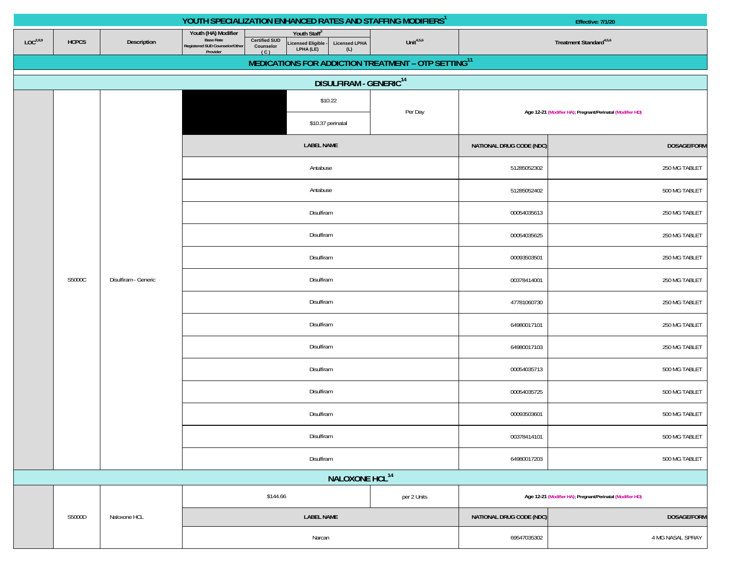|                      |              |                      | YOUTH SPECIALIZATION ENHANCED RATES AND STAFFING MODIFIERS <sup>1</sup>                                                                                                                                             |              | Effective: 7/1/20                   |                                                           |  |
|----------------------|--------------|----------------------|---------------------------------------------------------------------------------------------------------------------------------------------------------------------------------------------------------------------|--------------|-------------------------------------|-----------------------------------------------------------|--|
| LOC <sup>2,8,9</sup> | <b>HCPCS</b> | Description          | Youth (HA) Modifier<br>Youth Staff<br><b>Base Rate</b><br><b>Certified SUD</b><br>Licensed Eligible -<br>LPHA (LE)<br><b>Licensed LPHA</b><br>Registered SUD Counselor/Other<br>Counselor<br>(L)<br>Provider<br>(C) | Unit $4,5,6$ | Treatment Standard <sup>4,5,6</sup> |                                                           |  |
|                      |              |                      | MEDICATIONS FOR ADDICTION TREATMENT - OTP SETTING <sup>11</sup>                                                                                                                                                     |              |                                     |                                                           |  |
|                      |              |                      | <b>DISULFIRAM - GENERIC<sup>14</sup></b>                                                                                                                                                                            |              |                                     |                                                           |  |
|                      |              |                      | \$10.22                                                                                                                                                                                                             | Per Day      |                                     | Age 12-21 (Modifier HA); Pregnant/Perinatal (Modifier HD) |  |
|                      |              |                      | \$10.37 perinatal                                                                                                                                                                                                   |              |                                     |                                                           |  |
|                      |              |                      | <b>LABEL NAME</b>                                                                                                                                                                                                   |              | NATIONAL DRUG CODE (NDC)            | <b>DOSAGE/FORM</b>                                        |  |
|                      |              |                      | Antabuse                                                                                                                                                                                                            |              | 51285052302                         | 250 MG TABLET                                             |  |
|                      |              |                      | Antabuse                                                                                                                                                                                                            |              | 51285052402                         | 500 MG TABLET                                             |  |
|                      |              |                      | Disulfiram                                                                                                                                                                                                          |              | 00054035613                         | 250 MG TABLET                                             |  |
|                      |              |                      | Disulfiram                                                                                                                                                                                                          |              | 250 MG TABLET<br>00054035625        |                                                           |  |
|                      |              |                      | Disulfiram                                                                                                                                                                                                          |              | 00093503501                         | 250 MG TABLET                                             |  |
|                      | S5000C       | Disulfiram - Generic | Disulfiram                                                                                                                                                                                                          |              | 00378414001                         | 250 MG TABLET                                             |  |
|                      |              |                      | Disulfiram                                                                                                                                                                                                          | 47781060730  |                                     |                                                           |  |
|                      |              |                      | Disulfiram                                                                                                                                                                                                          |              | 64980017101                         | 250 MG TABLET                                             |  |
|                      |              |                      | Disulfiram                                                                                                                                                                                                          |              | 64980017103                         | 250 MG TABLET                                             |  |
|                      |              |                      | Disulfiram                                                                                                                                                                                                          |              | 00054035713                         | 500 MG TABLET                                             |  |
|                      |              |                      | Disulfiram                                                                                                                                                                                                          |              | 00054035725                         | 500 MG TABLET                                             |  |
|                      |              |                      | Disulfiram                                                                                                                                                                                                          |              | 00093503601                         | 500 MG TABLET                                             |  |
|                      |              |                      | Disulfiram                                                                                                                                                                                                          |              | 00378414101                         | 500 MG TABLET                                             |  |
|                      |              |                      | Disulfiram                                                                                                                                                                                                          |              | 64980017203                         | 500 MG TABLET                                             |  |
|                      |              |                      | NALOXONE HCL <sup>14</sup>                                                                                                                                                                                          |              |                                     |                                                           |  |
|                      |              |                      | \$144.66                                                                                                                                                                                                            | per 2 Units  |                                     | Age 12-21 (Modifier HA); Pregnant/Perinatal (Modifier HD) |  |
|                      | S5000D       | Naloxone HCL         | <b>LABEL NAME</b>                                                                                                                                                                                                   |              | NATIONAL DRUG CODE (NDC)            | DOSAGE/FORM                                               |  |
|                      |              |                      | Narcan                                                                                                                                                                                                              |              | 69547035302<br>4 MG NASAL SPRAY     |                                                           |  |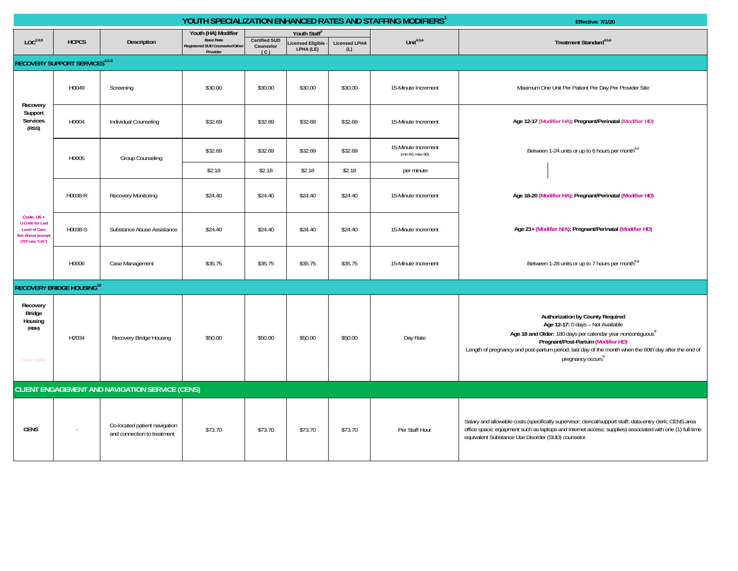| YOUTH SPECIALIZATION ENHANCED RATES AND STAFFING MODIFIERS <sup>1</sup><br>Effective: 7/1/20        |                                       |                                                              |                                                                                       |                                          |                                                           |                             |                                         |                                                                                                                                                                                                                                                                                                                                 |  |  |  |
|-----------------------------------------------------------------------------------------------------|---------------------------------------|--------------------------------------------------------------|---------------------------------------------------------------------------------------|------------------------------------------|-----------------------------------------------------------|-----------------------------|-----------------------------------------|---------------------------------------------------------------------------------------------------------------------------------------------------------------------------------------------------------------------------------------------------------------------------------------------------------------------------------|--|--|--|
| LOC <sup>2,8,9</sup>                                                                                | <b>HCPCS</b>                          | Description                                                  | Youth (HA) Modifier<br><b>Base Rate</b><br>Registered SUD Counselor/Other<br>Provider | <b>Certified SUD</b><br>Counselor<br>(C) | Youth Staff <sup>3</sup><br>icensed Eligible<br>LPHA (LE) | <b>Licensed LPHA</b><br>(L) | Unit $4,5,6$                            | Treatment Standard <sup>4,5,6</sup>                                                                                                                                                                                                                                                                                             |  |  |  |
|                                                                                                     | <b>RECOVERY SUPPORT SERVICES4,5,6</b> |                                                              |                                                                                       |                                          |                                                           |                             |                                         |                                                                                                                                                                                                                                                                                                                                 |  |  |  |
|                                                                                                     | H0049                                 | Screening                                                    | \$30.00                                                                               | \$30.00                                  | \$30.00                                                   | \$30.00                     | 15-Minute Increment                     | Maximum One Unit Per Patient Per Day Per Provider Site                                                                                                                                                                                                                                                                          |  |  |  |
| Recovery<br>Support<br><b>Services</b><br>(RSS)                                                     | H0004                                 | Individual Counseling                                        | \$32.69                                                                               | \$32.69                                  | \$32.69                                                   | \$32.69                     | 15-Minute Increment                     | Age 12-17 (Modifier HA); Pregnant/Perinatal (Modifier HD)                                                                                                                                                                                                                                                                       |  |  |  |
|                                                                                                     | H0005                                 | Group Counseling                                             | \$32.69                                                                               | \$32.69                                  | \$32.69                                                   | \$32.69                     | 15-Minute Increment<br>(min 60, max 90) | Between 1-24 units or up to 6 hours per month <sup>8,9</sup>                                                                                                                                                                                                                                                                    |  |  |  |
|                                                                                                     |                                       |                                                              | \$2.18                                                                                | \$2.18                                   | \$2.18                                                    | \$2.18                      | per minute                              |                                                                                                                                                                                                                                                                                                                                 |  |  |  |
|                                                                                                     | H0038-R                               | Recovery Monitoring                                          | \$24.40                                                                               | \$24.40                                  | \$24.40                                                   | \$24.40                     | 15-Minute Increment                     | Age 18-20 (Modifier HA); Pregnant/Perinatal (Modifier HD)                                                                                                                                                                                                                                                                       |  |  |  |
| Code: $U6 +$<br><b>U</b> Code for Last<br><b>Level of Care</b><br>ee Above (except<br>OTP use "UA") | H0038-S                               | Substance Abuse Assistance                                   | \$24.40                                                                               | \$24.40                                  | \$24.40                                                   | \$24.40                     | 15-Minute Increment                     | Age 21+ (Modifier N/A), Pregnant/Perinatal (Modifier HD)                                                                                                                                                                                                                                                                        |  |  |  |
|                                                                                                     | H0006                                 | Case Management                                              | \$35.75                                                                               | \$35.75                                  | \$35.75                                                   | \$35.75                     | 15-Minute Increment                     | Between 1-28 units or up to 7 hours per month <sup>8,9</sup>                                                                                                                                                                                                                                                                    |  |  |  |
|                                                                                                     | <b>RECOVERY BRIDGE HOUSING12</b>      |                                                              |                                                                                       |                                          |                                                           |                             |                                         |                                                                                                                                                                                                                                                                                                                                 |  |  |  |
| Recovery<br>Bridge<br>Housing<br>(RBH)<br>Code: None                                                | H2034                                 | Recovery Bridge Housing                                      | \$50.00                                                                               | \$50.00                                  | \$50.00                                                   | \$50.00                     | Day Rate                                | Authorization by County Required<br>Age 12-17: 0 days - Not Available<br>Age 18 and Older: 180 days per calendar year noncontiguous <sup>8</sup><br>Pregnant/Post-Partum (Modifier HD)<br>Length of pregnancy and post-partum period, last day of the month when the 60th day after the end of<br>pregnancy occurs <sup>8</sup> |  |  |  |
|                                                                                                     |                                       | <b>CLIENT ENGAGEMENT AND NAVIGATION SERVICE (CENS)</b>       |                                                                                       |                                          |                                                           |                             |                                         |                                                                                                                                                                                                                                                                                                                                 |  |  |  |
| <b>CENS</b>                                                                                         |                                       | Co-located patient navigation<br>and connection to treatment | \$73.70                                                                               | \$73.70                                  | \$73.70                                                   | \$73.70                     | Per Staff Hour                          | Salary and allowable costs (specifically supervisor; clerical/support staff; data-entry clerk; CENS area<br>office space; equipment such as laptops and internet access; supplies) associated with one (1) full-time<br>equivalent Substance Use Disorder (SUD) counselor.                                                      |  |  |  |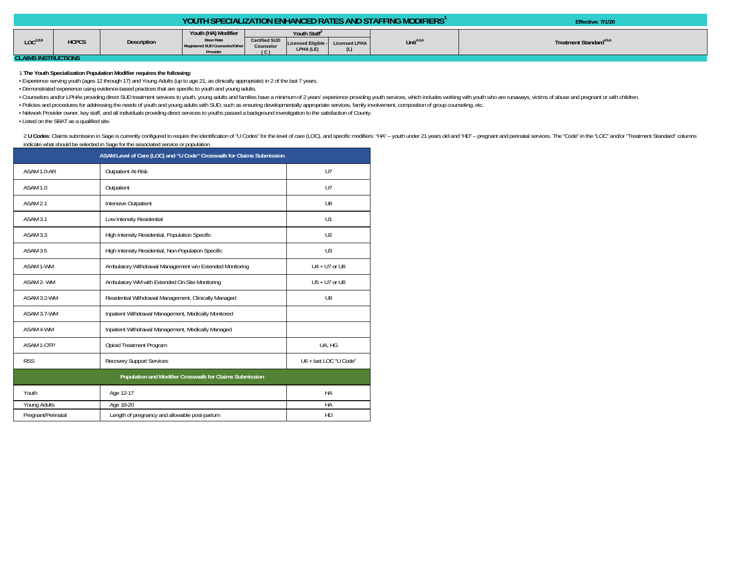| Youth (HA) Modifier<br>Youth Staff <sup>3</sup><br><b>Base Rate</b><br>LOC <sup>2,8.0</sup><br>Certified SUD Licensed Eligible - Licensed LPHA<br>Unit $4,5,6$<br><b>HCPCS</b><br>Treatment Standard <sup>4,5,6</sup><br>Description<br>Registered SUD Counselor/Other<br>Counselor |  |          |                |           |     | <b>YOUTH SPECIALIZATION ENHANCED RATES AND STAFFING MODIFIERS'</b> | Effective: 7/1/20 |
|-------------------------------------------------------------------------------------------------------------------------------------------------------------------------------------------------------------------------------------------------------------------------------------|--|----------|----------------|-----------|-----|--------------------------------------------------------------------|-------------------|
| OL AIMO IMOTOHOTIONIC                                                                                                                                                                                                                                                               |  | Provider | $\overline{c}$ | LPHA (LE) | (L) |                                                                    |                   |

**CLAIMS INSTRUCTIONS** 

## 1 **The Youth Specialization Population Modifier requires the following:**

• Experience serving youth (ages 12 through 17) and Young Adults (up to age 21, as clinically appropriate) in 2 of the last 7 years.

• Demonstrated experience using evidence-based practices that are specific to youth and young adults.

· Counselors and/or LPHAs providing direct SUD treatment services to youth, young adults and families have a minimum of 2 years' experience providing youth services, which includes working with youth who are runaways, vict

• Policies and procedures for addressing the needs of youth and young adults with SUD, such as ensuring developmentally appropriate services, family involvement, composition of group counseling, etc.

• Network Provider owner, key staff, and all individuals providing direct services to youths passed a background investigation to the satisfaction of County.

• Listed on the SBAT as a qualified site.

2 U Codes: Claims submission in Sage is currently configured to require the identification of "U Codes" for the level of care (LOC), and specific modifiers: "HA" - youth under 21 years old and "HD" - pregnant and perinatal indicate what should be selected in Sage for the associated service or population.

| ASAM Level of Care (LOC) and "U Code" Crosswalk for Claims Submission |                                                          |                        |  |  |  |  |  |  |
|-----------------------------------------------------------------------|----------------------------------------------------------|------------------------|--|--|--|--|--|--|
| ASAM 1.0-AR                                                           | <b>Outpatient At-Risk</b>                                | U <sub>7</sub>         |  |  |  |  |  |  |
| ASAM 1.0                                                              | Outpatient                                               | U <sub>7</sub>         |  |  |  |  |  |  |
| ASAM <sub>2.1</sub>                                                   | Intensive Outpatient                                     | U <sub>8</sub>         |  |  |  |  |  |  |
| ASAM 3.1                                                              | Low Intensity Residential                                | U1                     |  |  |  |  |  |  |
| ASAM 3.3                                                              | High Intensity Residential, Population Specific          | U <sub>2</sub>         |  |  |  |  |  |  |
| ASAM 3.5                                                              | High Intensity Residential, Non-Population Specific      | U3                     |  |  |  |  |  |  |
| ASAM 1-WM                                                             | Ambulatory Withdrawal Management w/o Extended Monitoring | $U4 + U7$ or U8        |  |  |  |  |  |  |
| ASAM 2-WM                                                             | Ambulatory WM with Extended On-Site Monitoring           | U5 + U7 or U8          |  |  |  |  |  |  |
| ASAM 3.2-WM                                                           | Residential Withdrawal Management, Clinically Managed    | U <sup>9</sup>         |  |  |  |  |  |  |
| ASAM 3.7-WM                                                           | Inpatient Withdrawal Management, Medically Monitored     |                        |  |  |  |  |  |  |
| ASAM 4-WM                                                             | Inpatient Withdrawal Management, Medically Managed       |                        |  |  |  |  |  |  |
| ASAM 1-OTP                                                            | Opioid Treatment Program                                 | UA, HG                 |  |  |  |  |  |  |
| <b>RSS</b>                                                            | <b>Recovery Support Services</b>                         | U6 + last LOC "U Code" |  |  |  |  |  |  |
| Population and Modifier Crosswalk for Claims Submission               |                                                          |                        |  |  |  |  |  |  |
| Youth                                                                 | Age 12-17                                                | HA                     |  |  |  |  |  |  |
| Young Adults                                                          | Age 18-20                                                | HA                     |  |  |  |  |  |  |
| Pregnant/Perinatal                                                    | Length of pregnancy and allowable post-partum            | HD                     |  |  |  |  |  |  |